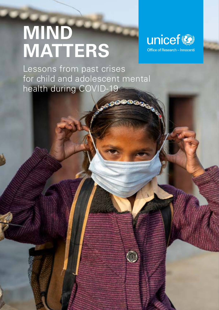# **MIND MATTERS**



Lessons from past crises for child and adolescent mental health during COVID-19

ෙපෙ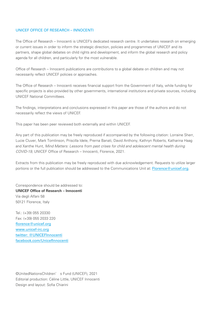#### UNICEF OFFICE OF RESEARCH – INNOCENTI

The Office of Research – Innocenti is UNICEF's dedicated research centre. It undertakes research on emerging or current issues in order to inform the strategic direction, policies and programmes of UNICEF and its partners, shape global debates on child rights and development, and inform the global research and policy agenda for all children, and particularly for the most vulnerable.

Office of Research – Innocenti publications are contributions to a global debate on children and may not necessarily reflect UNICEF policies or approaches.

The Office of Research – Innocenti receives financial support from the Government of Italy, while funding for specific projects is also provided by other governments, international institutions and private sources, including UNICEF National Committees.

The findings, interpretations and conclusions expressed in this paper are those of the authors and do not necessarily reflect the views of UNICEF.

This paper has been peer reviewed both externally and within UNICEF.

Any part of this publication may be freely reproduced if accompanied by the following citation: Lorraine Sherr, Lucie Cluver, Mark Tomlinson, Priscilla Idele, Prerna Banati, David Anthony, Kathryn Roberts, Katharina Haag and Xanthe Hunt, Mind Matters: Lessons from past crises for child and adolescent mental health during COVID-19, UNICEF Office of Research – Innocenti, Florence, 2021.

Extracts from this publication may be freely reproduced with due acknowledgement. Requests to utilize larger portions or the full publication should be addressed to the Communications Unit at: [Florence@unicef.org](mailto:Florence%40unicef.org?subject=).

Correspondence should be addressed to: **UNICEF Office of Research – Innocenti** Via degli Alfani 58 50121 Florence, Italy

Tel.: (+39) 055 20330 Fax: (+39) 055 2033 220 [florence@unicef.org](mailto:florence@unicef.org) [www.unicef-irc.org](http://www.unicef-irc.org) twitter: @UNICEFInnocenti [facebook.com/UnicefInnocenti](http://facebook.com/UnicefInnocenti)

©️ United Nations Children' s Fund (UNICEF), 2021 Editorial production: Céline Little, UNICEF Innocenti Design and layout: Sofia Chiarini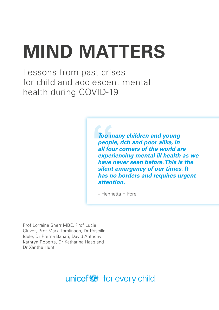# **MIND MATTERS**

Lessons from past crises for child and adolescent mental health during COVID-19

> *Too many children and young people, rich and poor alike, in all four corners of the world are experiencing mental ill health as we have never seen before. This is the silent emergency of our times. It has no borders and requires urgent attention.*

– Henrietta H Fore

Prof Lorraine Sherr MBE, Prof Lucie Cluver, Prof Mark Tomlinson, Dr Priscilla Idele, Dr Prerna Banati, David Anthony, Kathryn Roberts, Dr Katharina Haag and Dr Xanthe Hunt

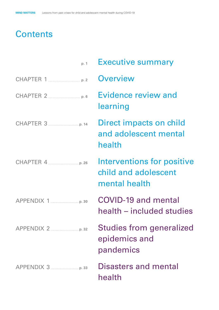# **Contents**

| Direct impacts on child<br>and adolescent mental |
|--------------------------------------------------|
| Interventions for positive                       |
| health – included studies                        |
| <b>Studies from generalized</b>                  |
|                                                  |
|                                                  |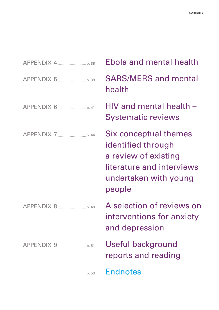| n. 53 |
|-------|

[Ebola and mental health](#page-43-0) [SARS/MERS and mental](#page-44-0)  [health](#page-44-0) [HIV and mental health –](#page-46-0)  [Systematic reviews](#page-46-0) [Six conceptual themes](#page-49-0)  [identified through](#page-49-0)  [a review of existing](#page-49-0)  [literature and interviews](#page-49-0)  [undertaken with young](#page-49-0) 

[A selection of reviews on](#page-54-0)  [interventions for anxiety](#page-54-0)  [and depression](#page-54-0)

[Useful background](#page-56-0)  [reports and reading](#page-56-0)

[people](#page-49-0)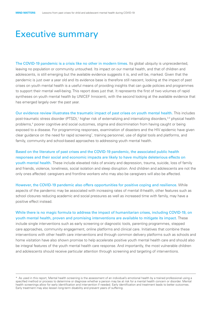## <span id="page-5-0"></span>Executive summary

The COVID-19 pandemic is a crisis like no other in modern times. Its global ubiquity is unprecedented, leaving no population or community untouched. Its impact on our mental health, and that of children and adolescents, is still emerging but the available evidence suggests it is, and will be, marked. Given that the pandemic is just over a year old and its evidence base is therefore still nascent, looking at the impact of past crises on youth mental health is a useful means of providing insights that can guide policies and programmes to support their mental well-being. This report does just that. It represents the first of two volumes of rapid syntheses on youth mental health by UNICEF Innocenti, with the second looking at the available evidence that has emerged largely over the past year.

Our evidence review illustrates the traumatic impact of past crises on youth mental health. This includes post-traumatic stress disorder (PTSD),<sup>1</sup> higher risk of externalizing and internalizing disorders,<sup>2,3</sup> physical health problems,4 poorer cognitive and social outcomes, stigma and discrimination from having caught or being exposed to a disease. For programming responses, examination of disasters and the HIV epidemic have given clear guidance on the need for rapid screening\* , training personnel, use of digital tools and platforms, and family, community and school-based approaches to addressing youth mental health.

Based on the literature of past crises and the COVID-19 pandemic, the associated public health responses and their social and economic impacts are likely to have multiple deleterious effects on youth mental health. These include elevated risks of anxiety and depression, trauma, suicide, loss of family and friends, violence, loneliness, social isolation and sleep disruption. And children and adolescents are not the only ones affected: caregivers and frontline workers who may also be caregivers will also be affected.

However, the COVID-19 pandemic also offers opportunities for positive coping and resilience. While aspects of the pandemic may be associated with increasing rates of mental ill-health, other features such as school closures reducing academic and social pressures as well as increased time with family, may have a positive effect instead.

While there is no magic formula to address the impact of humanitarian crises, including COVID-19, on youth mental health, proven and promising interventions are available to mitigate its impact. These include single interventions such as early screening or diagnostic tools, parenting programmes, stepped care approaches, community engagement, online platforms and clinical care. Initiatives that combine these interventions with other health care interventions and through common delivery platforms such as schools and home visitation have also shown promise to help accelerate positive youth mental health care and should also be integral features of the youth mental health care response. And importantly, the most vulnerable children and adolescents should receive particular attention through screening and targeting of interventions.

<sup>\*</sup> As used in this report, Mental health screening is the assessment of an individual's emotional health by a trained professional using a specified method or process to determine or diagnose whether a person may be at risk for a mental health concern or disorder. Mental health screenings allow for early identification and intervention if needed. Early identification and treatment leads to better outcomes. Early treatment may also lessen long-term disability and prevent years of suffering.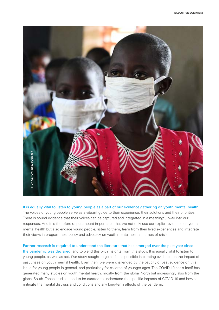

It is equally vital to listen to young people as a part of our evidence gathering on youth mental health. The voices of young people serve as a vibrant guide to their experience, their solutions and their priorities. There is sound evidence that their voices can be captured and integrated in a meaningful way into our responses. And it is therefore of paramount importance that we not only use our explicit evidence on youth mental health but also engage young people, listen to them, learn from their lived experiences and integrate their views in programmes, policy and advocacy on youth mental health in times of crisis.

Further research is required to understand the literature that has emerged over the past year since the pandemic was declared, and to blend this with insights from this study. It is equally vital to listen to young people, as well as act. Our study sought to go as far as possible in curating evidence on the impact of past crises on youth mental health. Even then, we were challenged by the paucity of past evidence on this issue for young people in general, and particularly for children of younger ages. The COVID-19 crisis itself has generated many studies on youth mental health, mostly from the global North but increasingly also from the global South. These studies need to be curated to understand the specific impacts of COVID-19 and how to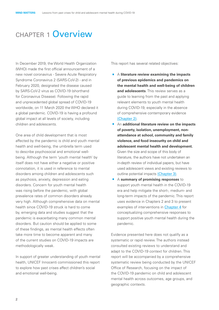## <span id="page-7-0"></span>chapter 1 Overview

In December 2019, the World Health Organization (WHO) made the first official announcement of a new novel coronavirus - Severe Acute Respiratory Syndrome Coronavirus 2 (SARS-CoV-2) - and in February 2020, designated the disease caused by SARS-CoV-2 virus as COVID-19 (shorthand for Coronavirus Disease). Following the rapid and unprecedented global spread of COVID-19 worldwide, on 11 March 2020 the WHO declared it a global pandemic. COVID-19 is having a profound global impact at all levels of society, including children and adolescents.

One area of child development that is most affected by the pandemic is child and youth mental health and well-being, the umbrella term used to describe psychosocial and emotional wellbeing. Although the term 'youth mental health' by itself does not have either a negative or positive connotation, it is used in reference to mental disorders among children and adolescents such as psychosis, anxiety, depression and eating disorders. Concern for youth mental health was rising before the pandemic, with global prevalence rates of common disorders already very high. Although comprehensive data on mental health since COVID-19 struck is hard to come by, emerging data and studies suggest that the pandemic is exacerbating many common mental disorders. But caution should be applied to some of these findings, as mental health effects often take more time to become apparent and many of the current studies on COVID-19 impacts are methodologically weak.

In support of greater understanding of youth mental health, UNICEF Innocenti commissioned this report to explore how past crises affect children's social and emotional well-being.

This report has several related objectives:

- · <sup>A</sup>**literature review examining the impacts of previous epidemics and pandemics on the mental health and well-being of children and adolescents**. This review serves as a guide to learning from the past and applying relevant elements to youth mental health during COVID-19, especially in the absence of comprehensive contemporary evidence (Chapter 2).
- **E** An **additional literature review on the impacts of poverty, isolation, unemployment, nonattendance at school, community and family violence, and food insecurity on child and adolescent mental health and development.** Given the size and scope of this body of literature, the authors have not undertaken an in-depth review of individual papers, but have used adolescent views and existing reviews to outline potential impacts (Chapter 3).
- · <sup>A</sup>**summary of promising responses** to support youth mental health in the COVID-19 era and help mitigate the short-, medium- and long-term impacts of the pandemic. This report uses evidence in Chapters 2 and 3 to present examples of interventions in **Chapter 4** for conceptualizing comprehensive responses to support positive youth mental health during the pandemic.

Evidence presented here does not qualify as a systematic or rapid review. The authors instead consulted existing reviews to understand and adapt to the COVID-19 context for children. This report will be accompanied by a comprehensive systematic review being conducted by the UNICEF Office of Research, focusing on the impact of the COVID-19 pandemic on child and adolescent mental health across outcomes, age groups, and geographic contexts.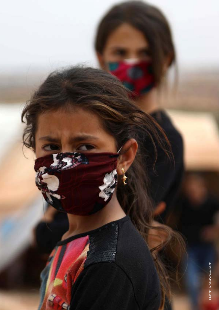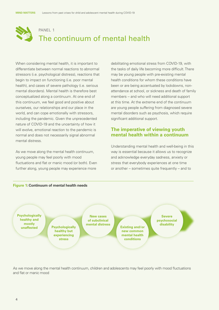

When considering mental health, it is important to differentiate between normal reactions to abnormal stressors (i.e. psychological distress), reactions that begin to impact on functioning (i.e. poor mental health), and cases of severe pathology (i.e. serious mental disorders). Mental health is therefore best conceptualized along a continuum. At one end of this continuum, we feel good and positive about ourselves, our relationships and our place in the world, and can cope emotionally with stressors, including the pandemic. Given the unprecedented nature of COVID-19 and the uncertainty of how it will evolve, emotional reaction to the pandemic is normal and does not necessarily signal abnormal mental distress.

As we move along the mental health continuum, young people may feel poorly with mood fluctuations and flat or manic mood (or both). Even further along, young people may experience more

debilitating emotional stress from COVID-19, with the tasks of daily life becoming more difficult. There may be young people with pre-existing mental health conditions for whom these conditions have been or are being accentuated by lockdowns, nonattendance at school, or sickness and death of family members -- and who will need additional support at this time. At the extreme end of the continuum are young people suffering from diagnosed severe mental disorders such as psychosis, which require significant additional support.

#### **The imperative of viewing youth mental health within a continuum**

Understanding mental health and well-being in this way is essential because it allows us to recognize and acknowledge everyday sadness, anxiety or stress that everybody experiences at one time or another – sometimes quite frequently – and to



As we move along the mental health continuum, children and adolescents may feel poorly with mood fluctuations and flat or manic mood

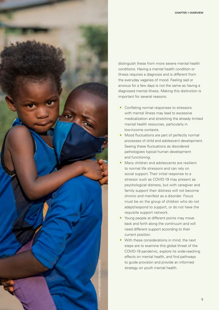

distinguish these from more severe mental health conditions. Having a mental health condition or illness requires a diagnosis and is different from the everyday vagaries of mood. Feeling sad or anxious for a few days is not the same as having a diagnosed mental illness. Making this distinction is important for several reasons:

- Conflating normal responses to stressors with mental illness may lead to excessive medicalization and stretching the already limited mental health resources, particularly in low-income contexts.
- Mood fluctuations are part of perfectly normal processes of child and adolescent development. Seeing these fluctuations as disordered pathologizes typical human development and functioning;
- · Many children and adolescents are resilient to normal life stressors and can rely on social support. Their initial response to a stressor such as COVID-19 may present as psychological distress, but with caregiver and family support their distress will not become chronic and manifest as a disorder. Focus must be on the group of children who do not adapt/respond to support, or do not have the requisite support network.
- <sup>•</sup> Young people at different points may move back and forth along the continuum and will need different support according to their current position.
- With these considerations in mind, the next steps are to examine this global threat of the COVID-19 pandemic, explore its wide-reaching effects on mental health, and find pathways to guide provision and provide an informed strategy on youth mental health.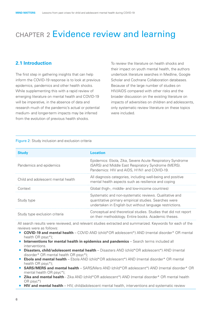## <span id="page-11-0"></span>CHAPTER 2 Evidence review and learning

## **2.1 Introduction**

The first step in gathering insights that can help inform the COVID-19 response is to look at previous epidemics, pandemics and other health shocks. While supplementing this with a rapid review of emerging literature on mental health and COVID-19 will be imperative, in the absence of data and research much of the pandemic's actual or potential medium- and longer-term impacts may be inferred from the evolution of previous health shocks.

To review the literature on health shocks and their impact on youth mental health, the authors undertook literature searches in Medline, Google Scholar and Cochrane Collaboration databases. Because of the large number of studies on HIV/AIDS compared with other risks and the broader discussion on the existing literature on impacts of adversities on children and adolescents, only systematic review literature on these topics were included.

#### Figure 2: Study inclusion and exclusion criteria

| <b>Study</b>                       | <b>Location</b>                                                                                                                                                             |
|------------------------------------|-----------------------------------------------------------------------------------------------------------------------------------------------------------------------------|
| Pandemics and epidemics            | Epidemics: Ebola, Zika, Severe Acute Respiratory Syndrome<br>(SARS) and Middle East Respiratory Syndrome (MERS).<br>Pandemics: HIV and AIDS, H1N1 and COVID-19.             |
| Child and adolescent mental health | All diagnosis categories, including well-being and positive<br>mental health aspects such as resilience and coping                                                          |
| Context                            | Global (high-, middle- and low-income countries)                                                                                                                            |
| Study type                         | Systematic and non-systematic reviews. Qualitative and<br>quantitative primary empirical studies. Searches were<br>undertaken in English but without language restrictions. |
| Study type exclusion criteria      | Conceptual and theoretical studies. Studies that did not report<br>on their methodology. Entire books. Academic theses.                                                     |

All search results were reviewed, and relevant studies extracted and summarized. Keywords for each of the reviews were as follows:

- · **COVID-19 and mental health** COVID AND (child\*OR adolescent\*) AND (mental disorder\* OR mental health OR psyc\*);
- **Interventions for mental health in epidemics and pandemics** Search terms included all interventions.
- · **Disasters, child/adolescent mental health** Disasters AND (child\*OR adolescent\*) AND (mental disorder\* OR mental health OR psyc\*);
- **Ebola and mental health** Ebola AND (child\*OR adolescent\*) AND (mental disorder\* OR mental health OR psyc\*);
- · **SARS/MERS and mental health** SARS/Mers AND (child\*OR adolescent\*) AND (mental disorder\* OR mental health OR psyc\*);
- **Zika and mental health** Zika AND (child\*OR adolescent\*) AND (mental disorder\* OR mental health OR psyc\*)
- **HIV and mental health** HIV, child/adolescent mental health, interventions and systematic review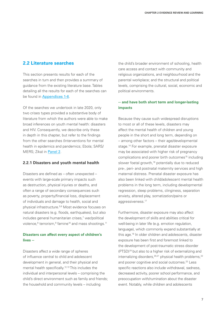#### **2.2 Literature searches**

This section presents results for each of the searches in turn and then provides a summary of guidance from the existing literature base. Tables detailing all the results for each of the searches can be found in Appendices 1-6.

Of the searches we undertook in late 2020, only two crises types provided a substantive body of literature from which the authors were able to make broad inferences on youth mental health: disasters and HIV. Consequently, we describe only these in depth in this chapter, but refer to the findings from the other searches (Interventions for mental health in epidemics and pandemics; Ebola; SARS/ MERS; Zika) in Panel 2.

#### **2.2.1 Disasters and youth mental health**

Disasters are defined as – often unexpected – events with large-scale primary impacts such as destruction, physical injuries or deaths, and often a range of secondary consequences such as poverty, property/financial loss, displacement of individuals and damage to health, social and physical infrastructure.5,6 Most evidence focuses on natural disasters (e.g. floods, earthquakes), but also includes general humanitarian crises,<sup>7</sup> war/political violence,<sup>8</sup> terrorism,<sup>9</sup> famine<sup>10</sup> and mass shootings.<sup>11</sup>

#### **Disasters can affect every aspect of children's lives --**

Disasters affect a wide range of spheres of influence central to child and adolescent development in general, and their physical and mental health specifically.<sup>12,13</sup> This includes the individual and interpersonal levels – comprising the child's direct environment such as family and friends; the household and community levels – including

the child's broader environment of schooling, health care access and contact with community and religious organizations, and neighbourhood and the parental workplace; and the structural and political levels, comprising the cultural, social, economic and political environments.

#### **-- and have both short term and longer-lasting impacts**

Because they cause such widespread disruptions to most or all of these levels, disasters may affect the mental health of children and young people in the short and long term, depending on – among other factors – their age/developmental stage.14 For example, prenatal disaster exposure may be associated with higher risk of pregnancy complications and poorer birth outcomes<sup>15</sup> including slower foetal growth,<sup>16</sup> potentially due to reduced pre-, peri- and postnatal maternity services and high maternal distress. Prenatal disaster exposure has also been linked with child/adolescent mental health problems in the long term, including developmental regression, sleep problems, clinginess, separation anxiety, altered play, somatization/pains or aggressiveness.<sup>17</sup>

Furthermore, disaster exposure may also affect the development of skills and abilities critical for well-being in later life (e.g. emotion regulation, language), which commonly expand substantially at this age.18 In older children and adolescents, disaster exposure has been first and foremost linked to the development of post-traumatic stress disorder (PTSD)19 but also to a higher risk of externalizing and internalizing disorders,  $20,21$  physical health problems,  $22$ and poorer cognitive and social outcomes.<sup>23</sup> Less specific reactions also include withdrawal, sadness, decreased activity, poorer school performance, and preoccupation with/rumination about the disaster event. Notably, while children and adolescents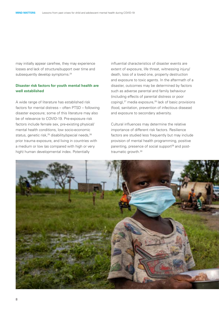may initially appear carefree, they may experience losses and lack of structure/support over time and subsequently develop symptoms.<sup>24</sup>

#### **Disaster risk factors for youth mental health are well established**

A wide range of literature has established risk factors for mental distress – often PTSD – following disaster exposure; some of this literature may also be of relevance to COVID-19. Pre-exposure risk factors include female sex, pre-existing physical/ mental health conditions, low socio-economic status, genetic risk,<sup>25</sup> disability/special needs,<sup>26</sup> prior trauma exposure, and living in countries with a medium or low (as compared with high or very high) human developmental index. Potentially

influential characteristics of disaster events are extent of exposure, life threat, witnessing injury/ death, loss of a loved one, property destruction and exposure to toxic agents. In the aftermath of a disaster, outcomes may be determined by factors such as adverse parental and family behaviour (including effects of parental distress or poor coping),<sup>27</sup> media exposure,<sup>28</sup> lack of basic provisions (food, sanitation, prevention of infectious disease) and exposure to secondary adversity.

Cultural influences may determine the relative importance of different risk factors. Resilience factors are studied less frequently but may include provision of mental health programming, positive parenting, presence of social support<sup>29</sup> and posttraumatic growth.30

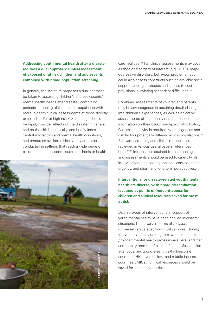**Addressing youth mental health after a disaster requires a dual approach: clinical assessment of exposed or at risk children and adolescents combined with broad population screening**

In general, the literature proposes a dual approach be taken to assessing children's and adolescents' mental health needs after disaster, combining periodic screening of the broader population with more in-depth clinical assessments of those directly exposed and/or at high risk.<sup>31</sup> Screenings should be rapid, consider effects of the disaster in general and on the child specifically, and briefly index central risk factors and mental health conditions, and resources available. Ideally they are to be conducted in settings that reach a wide range of children and adolescents, such as schools or health



care facilities.32 Full clinical assessments may cover a range of disorders of interest (e.g., PTSD, major depressive disorders, behaviour problems), but could also assess constructs such as available social support, coping strategies and access to social provisions, alleviating secondary difficulties.<sup>33</sup>

Combined assessments of children and parents may be advantageous in obtaining detailed insights into children's experiences, as well as objective assessments of their behaviour and responses and information on their background/psychiatric history. Cultural sensitivity is required, with diagnoses and risk factors potentially differing across populations.34 Relevant screening and clinical measures are reviewed in various useful papers referenced here.35,36 Information obtained from screenings and assessments should be used to carefully plan interventions, considering the local context, needs, urgency, and short- and long-term perspectives.<sup>37</sup>

**Interventions for disaster-related youth mental health are diverse, with broad dissemination favoured at points of frequent access for children and clinical resources saved for most at risk**

Diverse types of interventions in support of youth mental health have been applied in disaster situations. These vary in terms of *recipient*  (universal versus specific/clinical samples); *timing*  (preventative; early or long-term after exposure); *provider* (mental health professionals versus trained community members/teachers/para-professionals); *age focus*; and *income-settings* (high-income countries [HICs] versus low- and middle-income countries[LMICs]). Clinical resources should be saved for those most at risk.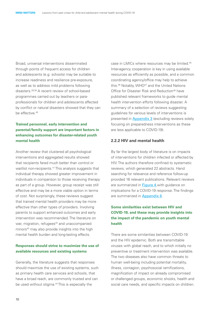Broad, universal interventions disseminated through points of frequent access for children and adolescents (e.g. schools) may be suitable to increase readiness and resilience pre-exposure, as well as to address mild problems following disasters.38,39 A recent review of school-based programmes carried out by teachers or paraprofessionals for children and adolescents affected by conflict or natural disasters showed that they can be effective.<sup>40</sup>

#### **Trained personnel, early intervention and parental/family support are important factors in enhancing outcomes for disaster-related youth mental health**

Another review that clustered all psychological interventions and aggregated results showed that recipients fared much better than control or waitlist non-recipients.<sup>41</sup> This analysis suggests that individual therapy showed greater improvement in individuals in comparison to those receiving therapy as part of a group. However, group receipt was still effective and may be a more viable option in terms of cost. Not surprisingly, these reviews suggest that trained mental health providers may be more effective than other types of providers. Involving parents to support enhanced outcomes and early intervention was recommended. The literature on war, migration, refugees<sup>42</sup> and unaccompanied minors<sup>43</sup> may also provide insights into the high mental health burden and long-lasting effects.

#### **Responses should strive to maximize the use of available resources and existing systems**

Generally, the literature suggests that responses should maximize the use of existing systems, such as primary health care services and schools, that have a broad reach, are commonly trusted and can be used without stigma.<sup>44</sup> This is especially the

case in LMICs where resources may be limited.45 Inter-agency cooperation is key in using available resources as efficiently as possible, and a common coordinating agency/office may help to achieve this.<sup>46</sup> Notably, WHO<sup>47</sup> and the United Nations Office for Disaster Risk and Reduction<sup>48</sup> have published relevant frameworks to guide mental health intervention efforts following disaster. A summary of a selection of reviews suggesting guidelines for various levels of interventions is presented in **Appendix 3** (excluding reviews solely focusing on preparedness interventions as these are less applicable to COVID-19).

#### **2.2.2 HIV and mental health**

By far the largest body of literature is on impacts of interventions for children infected or affected by HIV. The authors therefore confined to systematic reviews, which generated 22 abstracts. Hand searching for relevance and reference follow-up provided 16 relevant publications. Relevant reviews are summarized in Figure 4, with quidance on implications for a COVID-19 response. The findings are summarized in Appendix 6.

#### **Some similarities exist between HIV and COVID-19, and these may provide insights into the impact of the pandemic on youth mental health**

There are some similarities between COVID-19 and the HIV epidemic. Both are transmittable viruses with global reach, and to which initially no preventive or treatment intervention was available. The two diseases also have common threats to human well-being including potential mortality, illness, contagion, psychosocial ramifications, magnification of impact on already compromised or challenged groups, economic shocks, health and social care needs, and specific impacts on children.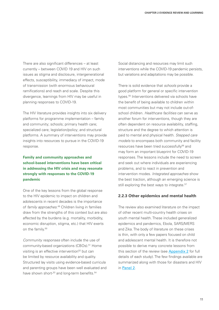There are also significant differences – at least currently – between COVID 19 and HIV on such issues as stigma and disclosure, intergenerational effects, susceptibility, immediacy of impact, mode of transmission (with enormous behavioural ramifications) and reach and scale. Despite this divergence, learnings from HIV may be useful in planning responses to COVID-19.

The HIV literature provides insights into six delivery platforms for programme implementation – family and community; schools; primary health care; specialized care; legislation/policy; and structural platforms. A summary of interventions may provide insights into resources to pursue in the COVID-19 response.

#### **Family and community approaches and school-based interventions have been critical in addressing the HIV crisis and may resonate strongly with responses to the COVID-19 pandemic**

One of the key lessons from the global response to the HIV epidemic to impact on children and adolescents in recent decades is the importance of *family approaches*. 49 Children living in families draw from the strengths of this context but are also affected by the burdens (e.g. mortality, morbidity, economic disruption, stigma, etc.) that HIV exerts on the family.<sup>50</sup>

*Community responses* often include the use of community-based organizations (CBOs).<sup>51</sup> Home visiting is an effective intervention<sup>52</sup> but can be limited by resource availability and quality. Structured lay visits using evidence-based curricula and parenting groups have been well evaluated and have shown short-<sup>53</sup> and long-term benefits.<sup>54</sup>

Social distancing and resources may limit such interventions while the COVID-19 pandemic persists, but variations and adaptations may be possible.

There is solid evidence that *schools* provide a good platform for general or specific intervention types.<sup>55</sup> Interventions delivered via schools have the benefit of being available to children within most communities but may not include out-ofschool children. *Healthcare facilities* can serve as another forum for interventions, though they are often dependent on resource availability, staffing, structure and the degree to which attention is paid to mental and physical health. *Stepped care models* to encompass both community and facility resources have been tried successfully<sup>56</sup> and may form an important blueprint for COVID-19 responses. The lessons include the need to screen and seek out where individuals are experiencing problems, and to react in prevention and intervention modes. *Integrated approaches* show the best traction, although an emerging science is still exploring the best ways to integrate.<sup>57</sup>

#### **2.2.3 Other epidemics and mental health**

The review also examined literature on the impact of other recent multi-country health crises on youth mental health. These included generalized epidemics and pandemics, Ebola, SARS/MERS and Zika. The body of literature on these crises is thin, with only a few papers focused on child and adolescent mental health. It is therefore not possible to derive many concrete lessons from this section of the review (see **Appendix 2** for full details of each study). The few findings available are summarized along with those for disasters and HIV in Panel 2.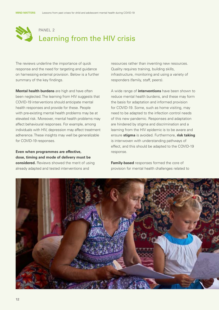

The reviews underline the importance of quick response and the need for targeting and guidance on harnessing external provision. Below is a further summary of the key findings.

**Mental health burdens** are high and have often been neglected. The learning from HIV suggests that COVID-19 interventions should anticipate mental health responses and provide for these. People with pre-existing mental health problems may be at elevated risk. Moreover, mental health problems may affect behavioural responses. For example, among individuals with HIV, depression may affect treatment adherence. These insights may well be generalizable for COVID-19 responses.

**Even when programmes are effective, dose, timing and mode of delivery must be considered.** Reviews showed the merit of using already adapted and tested interventions and

resources rather than inventing new resources. Quality requires training, building skills, infrastructure, monitoring and using a variety of responders (family, staff, peers).

A wide range of **interventions** have been shown to reduce mental health burdens, and these may form the basis for adaptation and informed provision for COVID-19. Some, such as home visiting, may need to be adapted to the infection control needs of this new pandemic. Responses and adaptation are hindered by stigma and discrimination and a learning from the HIV epidemic is to be aware and ensure **stigma** is avoided. Furthermore, **risk taking** is interwoven with understanding pathways of effect, and this should be adapted to the COVID-19 response.

**Family-based** responses formed the core of provision for mental health challenges related to

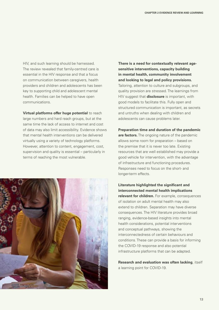HIV, and such learning should be harnessed. The review revealed that family-centred care is essential in the HIV response and that a focus on communication between caregivers, health providers and children and adolescents has been key to supporting child and adolescent mental health. Families can be helped to have open communications.

**Virtual platforms offer huge potential** to reach large numbers and hard reach groups, but at the same time the lack of access to internet and cost of data may also limit accessibility. Evidence shows that mental health interventions can be delivered virtually using a variety of technology platforms. However, attention to content, engagement, cost, supervision and quality is essential – particularly in terms of reaching the most vulnerable.



**There is a need for contextually relevant agesensitive interventions, capacity building in mental health, community involvement and looking to legal and policy provisions.** 

Tailoring, attention to culture and subgroups, and quality provision are stressed. The learnings from HIV suggest that **disclosure** is important, with good models to facilitate this. Fully open and structured communication is important, as secrets and untruths when dealing with children and adolescents can cause problems later.

#### **Preparation time and duration of the pandemic**

**are factors.** The ongoing nature of the pandemic allows some room for preparation – based on the premise that it is never too late. Existing resources that are well established may provide a good vehicle for intervention, with the advantage of infrastructure and functioning procedures. Responses need to focus on the short- and longer-term effects.

**Literature highlighted the significant and interconnected mental health implications relevant for children.** For example, consequences of isolation on adult mental health may also extend to children. Separation may have diverse consequences. The HIV literature provides broad ranging, evidence-based insights into mental health considerations, potential interventions and conceptual pathways, showing the interconnectedness of certain behaviours and conditions. These can provide a basis for informing the COVID-19 response and also potential infrastructure platforms that can be adapted.

**Research and evaluation was often lacking**, itself a learning point for COVID-19.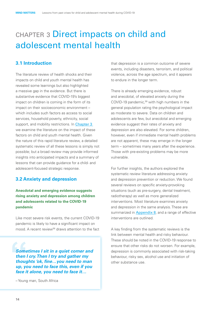## <span id="page-19-0"></span>chapter 3 Direct impacts on child and adolescent mental health

#### **3.1 Introduction**

The literature review of health shocks and their impacts on child and youth mental health has revealed some learnings but also highlighted a massive gap in the evidence. But there is substantive evidence that COVID-19's biggest impact on children is coming in the form of its impact on their socioeconomic environment – which includes such factors as access to social services, household poverty, ethnicity, social support, and mobility restrictions. In Chapter 3 we examine the literature on the impact of these factors on child and youth mental health. Given the nature of this rapid literature review, a detailed systematic review of all these lessons is simply not possible; but a broad review may provide informed insights into anticipated impacts and a summary of lessons that can provide guidance for a child- and adolescent-focused strategic response.

#### **3.2 Anxiety and depression**

#### **Anecdotal and emerging evidence suggests rising anxiety and depression among children and adolescents related to the COVID-19 pandemic**

Like most severe risk events, the current COVID-19 pandemic is likely to have a significant impact on mood. A recent review<sup>58</sup> draws attention to the fact

*Sometimes I sit in a quiet corner and then I cry. Then I try and gather my thoughts 'ok, fine…you need to man up, you need to face this, even if you face it alone, you need to face it…*

– Young man, South Africa

that depression is a common outcome of severe events, including disasters, terrorism, and political violence, across the age spectrum, and it appears to endure in the longer term.

There is already emerging evidence, robust and anecdotal, of elevated anxiety during the COVID-19 pandemic,<sup>59</sup> with high numbers in the general population rating the psychological impact as moderate to severe. Data on children and adolescents are few, but anecdotal and emerging evidence suggest their rates of anxiety and depression are also elevated. For some children, however, even if immediate mental health problems are not apparent, these may emerge in the longer term – sometimes many years after the experience. Those with pre-existing problems may be more vulnerable.

For further insights, the authors explored the systematic review literature addressing anxiety and depression prevention or reduction. We found several reviews on specific anxiety-provoking situations (such as pre-surgery, dental treatment, radiotherapy) as well as more generalized interventions. Most literature examines anxiety and depression in the same analysis. These are summarized in Appendix 8, and a range of effective interventions are outlined.

A key finding from the systematic reviews is the link between mental health and risky behaviour. These should be noted in the COVID-19 response to ensure that other risks do not worsen. For example, depression is commonly associated with risk-taking behaviour, risky sex, alcohol use and initiation of other substance use.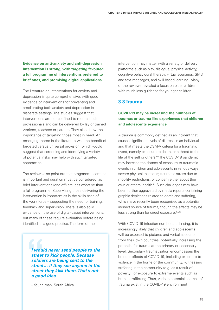**Evidence on anti-anxiety and anti-depression intervention is strong, with targeting favoured, a full programme of interventions preferred to brief ones, and promising digital applications**

The literature on interventions for anxiety and depression is quite comprehensive, with good evidence of interventions for preventing and ameliorating both anxiety and depression in disparate settings. The studies suggest that interventions are not confined to mental health professionals and can be delivered by lay or trained workers, teachers or parents. They also show the importance of targeting those most in need. An emerging theme in the literature was the benefit of targeted versus universal provision, which would suggest that screening and identifying a variety of potential risks may help with such targeted approaches.

The reviews also point out that programme content is important and duration must be considered, as brief interventions (one-off) are less effective than a full programme. Supervising those delivering the intervention is important as is the skills base of the work force – suggesting the need for training, feedback and supervision. There is also solid evidence on the use of digital-based interventions, but many of these require evaluation before being identified as a good practice. The form of the

> *I would never send people to the street to kick people. Because soldiers are being sent to the street… if they see anyone in the street they kick them. That's not a good idea.*

– Young man, South Africa

intervention may matter with a variety of delivery platforms such as play, dialogue, physical activity, cognitive behavioural therapy, virtual scenarios, SMS and text messages, and skill-based learning. Many of the reviews revealed a focus on older children with much less guidance for younger children.

#### **3.3 Trauma**

#### **COVID-19 may be increasing the numbers of traumas or trauma-like experiences that children and adolescents experience**

A trauma is commonly defined as an incident that causes significant levels of distress in an individual and that meets the DSM-V criteria for a traumatic event, namely exposure to death, or a threat to the life of the self or others.<sup>60</sup> The COVID-19 pandemic may increase the chance of exposure to traumatic events in children and adolescents in various ways: severe physical reactions; traumatic stress due to mobility restrictions; or concern either about their own or others' health.<sup>61</sup> Such challenges may have been further aggravated by media reports containing graphic depictions related to death and suffering, which have recently been recognized as a potential indirect source of trauma, though the effects may be less strong than for direct exposure.<sup>62,63</sup>

With COVID-19 infection numbers still rising, it is increasingly likely that children and adolescents will be exposed to pictures and verbal accounts from their own countries, potentially increasing the potential for trauma at the primary or secondary level. Secondary traumatization encompasses the broader effects of COVID-19, including exposure to violence in the home or the community, witnessing suffering in the community (e.g. as a result of poverty), or exposure to extreme events such as human trafficking. Thus, various potential sources of trauma exist in the COVID-19 environment.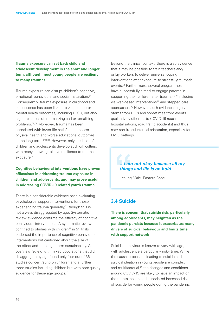#### **Trauma exposure can set back child and adolescent development in the short and longer term, although most young people are resilient to many traumas**

Trauma exposure can disrupt children's cognitive, emotional, behavioural and social maturation.<sup>64</sup> Consequently, trauma exposure in childhood and adolescence has been linked to various poorer mental health outcomes, including PTSD, but also higher chances of internalizing and externalizing problems.65,66 Moreover, trauma has been associated with lower life satisfaction, poorer physical health and worse educational outcomes in the long term.67,68,69 However, only a subset of children and adolescents develop such difficulties, with many showing relative resilience to trauma exposure.<sup>70</sup>

**Cognitive behavioural interventions have proven efficacious in addressing trauma exposure in children and adolescents, and may prove useful in addressing COVID-19 related youth trauma** 

There is a considerable evidence base evaluating psychological support interventions for those experiencing trauma generally,<sup>71</sup> though this is not always disaggregated by age. Systematic review evidence confirms the efficacy of cognitive behavioural interventions. A systematic review confined to studies with children<sup>72</sup> in 51 trials endorsed the importance of cognitive behavioural interventions but cautioned about the size of the effect and the longer-term sustainability. An overview review with mixed populations that did disaggregate by age found only four out of 36 studies concentrating on children and a further three studies including children but with poor-quality evidence for these age groups.<sup>73</sup>

Beyond the clinical context, there is also evidence that it may be possible to train teachers and/ or lay workers to deliver universal coping interventions after exposure to stressful/traumatic events.<sup>74</sup> Furthermore, several programmes have successfully aimed to engage parents in supporting their children after trauma,<sup>75,76</sup> including via web-based interventions<sup>77</sup> and stepped care approaches.78 However, such evidence largely stems from HICs and sometimes from events qualitatively different to COVID-19 (such as hospitalizations, road traffic accidents) and thus may require substantial adaptation, especially for LMIC settings.

#### *…I am not okay because all my things and life is on hold….*

– Young Male, Eastern Cape

## **3.4 Suicide**

**There is concern that suicide risk, particularly among adolescents, may heighten as the pandemic persists because it exacerbates many drivers of suicidal behaviour and limits time with support network**

Suicidal behaviour is known to vary with age, with adolescence a particularly risky time. While the causal processes leading to suicide and suicidal ideation in young people are complex and multifactorial,<sup>79</sup> the changes and conditions around COVID-19 are likely to have an impact on the mental health and associated increased risk of suicide for young people during the pandemic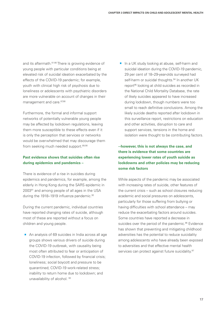and its aftermath.81-86 There is growing evidence of young people with particular conditions being at elevated risk of suicidal ideation exacerbated by the effects of the COVID-19 pandemic; for example, youth with clinical high risk of psychosis due to loneliness or adolescents with psychiatric disorders are more vulnerable on account of changes in their management and care.<sup>87,88</sup>

Furthermore, the formal and informal support networks of potentially vulnerable young people may be affected by lockdown regulations, leaving them more susceptible to these effects even if it is only the perception that services or networks would be overwhelmed that may discourage them from seeking much needed support.<sup>89,90</sup>

#### **Past evidence shows that suicides often rise during epidemics and pandemics –**

There is evidence of a rise in suicides during epidemics and pandemics, for example, among the elderly in Hong Kong during the SARS epidemic in 200391 and among people of all ages in the USA during the 1918–1919 influenza pandemic.<sup>92</sup>

During the current pandemic, individual countries have reported changing rates of suicide, although most of these are reported without a focus on children and young people.

**•** An analysis of 69 suicides in India across all age groups shows various drivers of suicide during the COVID-19 outbreak, with causality being most often attributed to fear or anticipation of COVID-19 infection, followed by financial crisis; loneliness; social boycott and pressure to be quarantined; COVID-19 work-related stress; inability to return home due to lockdown; and unavailability of alcohol. 93

I In a UK study looking at abuse, self-harm and suicidal ideation during the COVID-19 pandemic, 29 per cent of 18–29-year-olds surveyed had self-harm or suicidal thoughts.<sup>94</sup> In another UK report<sup>95</sup> looking at child suicides as recorded in the National Child Mortality Database, the rate of likely suicides appeared to have increased during lockdown, though numbers were too small to reach definitive conclusions. Among the likely suicide deaths reported after lockdown in this surveillance report, restrictions on education and other activities, disruption to care and support services, tensions in the home and isolation were thought to be contributing factors.

#### **--however, this is not always the case, and there is evidence that some countries are experiencing lower rates of youth suicide as lockdowns and other policies may be reducing some risk factors**

While aspects of the pandemic may be associated with increasing rates of suicide, other features of the current crisis – such as school closures reducing academic and social pressures on adolescents, particularly for those suffering from bullying or having difficulties with school attendance – may reduce the exacerbating factors around suicides. Some countries have reported a decrease in suicides over the period of the pandemic.<sup>96</sup> Evidence has shown that preventing and mitigating childhood adversities has the potential to reduce suicidality among adolescents who have already been exposed to adversities and that effective mental health services can protect against future suicidality.<sup>97</sup>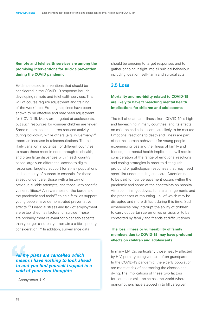#### **Remote and telehealth services are among the promising interventions for suicide prevention during the COVID pandemic**

Evidence-based interventions that should be considered in the COVID-19 response include developing remote and telehealth services. This will of course require adjustment and training of the workforce. Existing helplines have been shown to be effective and may need adjustment for COVID-19. Many are targeted at adolescents, but such resources for younger children are fewer. Some mental health centres reduced activity during lockdown, while others (e.g. in Germany)<sup>98</sup> report an increase in teleconsultations. There is likely variation in potential for different countries to reach those most in need through telehealth, and often large disparities within each country based largely on differential access to digital resources. Targeted support for at-risk populations and continuity of support is essential for those already under care, those with a history of previous suicide attempts, and those with specific vulnerabilities.99 An awareness of the burdens of the pandemic and tools<sup>100</sup> to help families support young people have demonstrated preventative effects.<sup>101</sup> Financial stress and lack of employment are established risk factors for suicide. These are probably more relevant for older adolescents than younger children, yet remain a critical priority consideration.102 In addition, surveillance data

*All my plans are cancelled which means I have nothing to look ahead to and you find yourself trapped in a void of your own thoughts*

– Anonymous, UK

should be ongoing to target responses and to gather ongoing insight into all suicidal behaviour, including ideation, self-harm and suicidal acts.

#### **3.5 Loss**

#### **Mortality and morbidity related to COVID-19 are likely to have far-reaching mental health implications for children and adolescents**

The toll of death and illness from COVID-19 is high and far-reaching in many countries, and its effects on children and adolescents are likely to be marked. Emotional reactions to death and illness are part of normal human behaviour; for young people experiencing loss and the illness of family and friends, the mental health implications will require consideration of the range of emotional reactions and coping strategies in order to distinguish profound or pathological responses that may need specialist understanding and care. Attention needs to be paid to how bereavement occurs within the pandemic and some of the constraints on hospital visitation, final goodbyes, funeral arrangements and the processes of mourning – all of which may be disrupted and more difficult during this time. Such experiences may interrupt the ability of children to carry out certain ceremonies or visits or to be comforted by family and friends at difficult times.

#### **The loss, illness or vulnerability of family members due to COVID-19 may have profound effects on children and adolescents**

In many LMICs, particularly those heavily affected by HIV, primary caregivers are often grandparents. In the COVID-19 pandemic, the elderly population are most at risk of contracting the disease and dying. The implications of these two factors for countless children across the world where grandmothers have stepped in to fill caregiver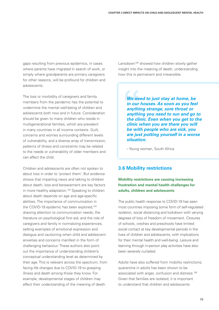gaps resulting from previous epidemics, in cases where parents have migrated in search of work, or simply where grandparents are primary caregivers for other reasons, will be profound for children and adolescents.

The loss or morbidity of caregivers and family members from the pandemic has the potential to undermine the mental well-being of children and adolescents both now and in future. Consideration should be given to many children who reside in multigenerational families, which are prevalent in many countries in all income contexts. Guilt, concerns and worries surrounding different levels of vulnerability, and a diverse array of transmission, patterns of illness and constraints may be related to the needs or vulnerability of older members and can affect the child.

Children and adolescents are often not spoken to about loss in order to 'protect them'. But evidence shows that imparting news and talking to children about death, loss and bereavement are key factors in more healthy adaptation.<sup>103</sup> Speaking to children about death depends on age and age-specific abilities. The importance of communication in the COVID-19 epidemic has been explored,<sup>104</sup> drawing attention to communication needs; the literature on psychological first aid; and the role of caregivers and family in normalizing experiences, setting examples of emotional expression and dialogue and cautioning when child and adolescent anxieties and concerns manifest in the form of challenging behaviour. These authors also point out the importance of understanding children's conceptual understanding level as determined by their age. This is relevant across the spectrum, from facing life changes due to COVID-19 to grasping illness and death among those they know. For example, developmental stages of children may affect their understanding of the meaning of death.

Lansdown<sup>105</sup> showed how children slowly gather insight into the meaning of death, understanding how this is permanent and irreversible.

> *We need to just stay at home, be in our houses. As soon as you feel anything strange, sore throat or anything you need to run and go to the clinic. Even when you get to the clinic when you are there you will be with people who are sick, you are just putting yourself in a worse situation.*

– Young woman, South Africa

## **3.6 Mobility restrictions**

#### **Mobility restrictions are causing increasing frustration and mental health challenges for adults, children and adolescents**

The public health response to COVID-19 has seen most countries imposing some form of self-regulated isolation, social distancing and lockdown with varying degrees of loss of freedom of movement. Closures of schools, creches and preschools have limited social contact at key developmental periods in the lives of children and adolescents, with implications for their mental health and well-being. Leisure and learning through in-person play activities have also been severely curtailed.

Adults have also suffered from mobility restrictions; quarantine in adults has been shown to be associated with anger, confusion and distress.<sup>106</sup> Given that families are isolated, it is important to understand that children and adolescents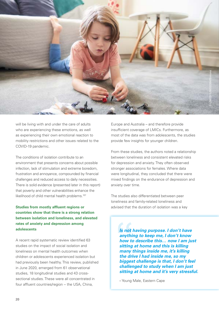

will be living with and under the care of adults who are experiencing these emotions, as well as experiencing their own emotional reaction to mobility restrictions and other issues related to the COVID-19 pandemic.

The conditions of isolation contribute to an environment that presents concerns about possible infection, lack of stimulation and extreme boredom, frustration and annoyance, compounded by financial challenges and reduced access to daily necessities. There is solid evidence (presented later in this report) that poverty and other vulnerabilities enhance the likelihood of child mental health problems.<sup>107</sup>

#### **Studies from mostly affluent regions or countries show that there is a strong relation between isolation and loneliness, and elevated rates of anxiety and depression among adolescents**

A recent rapid systematic review identified 63 studies on the impact of social isolation and loneliness on mental health outcomes when children or adolescents experienced isolation but had previously been healthy. This review, published in June 2020, emerged from 61 observational studies, 18 longitudinal studies and 43 crosssectional studies. These were all concentrated in four affluent countries/region -- the USA, China,

Europe and Australia – and therefore provide insufficient coverage of LMICs. Furthermore, as most of the data was from adolescents, the studies provide few insights for younger children.

From these studies, the authors noted a relationship between loneliness and consistent elevated risks for depression and anxiety. They often observed stronger associations for females. Where data were longitudinal, they concluded that there were mixed findings on the endurance of depression and anxiety over time.

The studies also differentiated between peer loneliness and family-related loneliness and advised that the duration of isolation was a key

> *Is not having purpose. I don't have anything to keep me, I don't know how to describe this… now I am just sitting at home and this is killing many things inside me, it's killing the drive I had inside me, so my biggest challenge is that, I don't feel challenged to study when I am just sitting at home and it's very stressful.*

– Young Male, Eastern Cape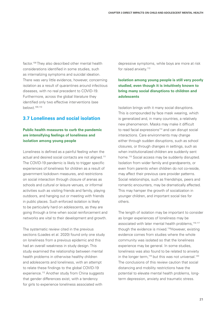factor.<sup>108</sup> They also described other mental health considerations identified in some studies, such as internalizing symptoms and suicidal ideation. There was very little evidence, however, concerning isolation as a result of quarantines around infectious diseases, with no real precedent to COVID-19. Furthermore, across the global literature they identified only two effective interventions (see below).109,110

## **3.7 Loneliness and social isolation**

#### **Public health measures to curb the pandemic are intensifying feelings of loneliness and isolation among young people**

Loneliness is defined as a painful feeling when the actual and desired social contacts are not aligned.<sup>111</sup> The COVID-19 pandemic is likely to trigger specific experiences of loneliness for children as a result of government lockdown measures, and restrictions on social interaction through closure of arenas as schools and cultural or leisure venues, or informal activities such as visiting friends and family, playing outdoors, and hanging out or meeting with friends in public places. Such enforced isolation is likely to be particularly hard on adolescents, as they are going through a time when social reinforcement and networks are vital to their development and growth.

The systematic review cited in the previous sections (Loades et al. 2020) found only one study on loneliness from a previous epidemic and this had an overall weakness in study design. This study examined the relationship between mental health problems in otherwise healthy children and adolescents and loneliness, with an attempt to relate these findings to the global COVID-19 experience.<sup>112</sup> Another study from China suggests that gender differences exist, with a tendency for girls to experience loneliness associated with

depressive symptoms, while boys are more at risk for raised anxiety.<sup>113</sup>

#### **Isolation among young people is still very poorly studied, even though it is intuitively known to bring many social disruptions to children and adolescents**

Isolation brings with it many social disruptions. This is compounded by face mask wearing, which is generalized and, in many countries, a relatively new phenomenon. Masks may make it difficult to read facial expressions<sup>114</sup> and can disrupt social interactions. Care environments may change either through sudden disruptions, such as school closures, or through changes in settings, such as when institutionalized children are suddenly sent home.<sup>115</sup> Social access may be suddenly disrupted. Isolation from wider family and grandparents, or even from parents when children do not co-reside, may affect their previous care provider patterns. Social relationships, such as friendships, peers and romantic encounters, may be dramatically affected. This may hamper the growth of socialization in younger children, and important social ties for others.

The length of isolation may be important to consider as longer experiences of loneliness may be associated with later mental health problems,<sup>116,117</sup> though the evidence is mixed.<sup>118</sup>However, existing evidence comes from studies where the whole community was isolated so that the loneliness experience may be general. In some studies, loneliness was also found to be related to anxiety in the longer term, $119}$  but this was not universal. $120$ The conclusions of this review caution that social distancing and mobility restrictions have the potential to elevate mental health problems, longterm depression, anxiety and traumatic stress.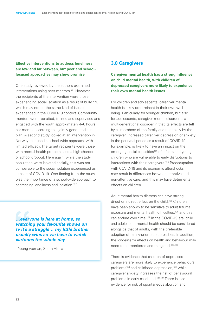#### **Effective interventions to address loneliness are few and far between, but peer and schoolfocused approaches may show promise**

One study reviewed by the authors examined interventions using peer mentors.121 However, the recipients of the intervention were those experiencing social isolation as a result of bullying, which may not be the same kind of isolation experienced in the COVID-19 context. Community mentors were recruited, trained and supervised and engaged with the youth approximately 4–6 hours per month, according to a jointly generated action plan. A second study looked at an intervention in Norway that used a school-wide approach, with limited efficacy. The target recipients were those with mental health problems and a high chance of school dropout. Here again, while the study population were isolated socially, this was not comparable to the social isolation experienced as a result of COVID-19. One finding from the study was the importance of a school-wide approach to addressing loneliness and isolation.<sup>122</sup>

*…everyone is here at home, so watching your favourite shows on tv it's a struggle… my little brother usually wins so we have to watch cartoons the whole day*

– Young woman, South Africa

#### **3.8 Caregivers**

**Caregiver mental health has a strong influence on child mental health, with children of depressed caregivers more likely to experience their own mental health issues**

For children and adolescents, caregiver mental health is a key determinant in their own wellbeing. Particularly for younger children, but also for adolescents, caregiver mental disorder is a multigenerational disorder in that its effects are felt by all members of the family and not solely by the caregiver. Increased caregiver depression or anxiety in the perinatal period as a result of COVID-19 for example, is likely to have an impact on the emerging social capacities<sup>123</sup> of infants and young children who are vulnerable to early disruptions to interactions with their caregivers.<sup>124</sup> Preoccupation with COVID-19 and its economic aftershocks may result in differences between attentive and non-attentive care, and this may have detrimental effects on children.

Adult mental health distress can have strong direct or indirect effect on the child.<sup>125</sup> Children have been shown to be sensitive to adult trauma exposure and mental health difficulties,<sup>126</sup> and this can endure over time.<sup>127</sup> In the COVID-19 era, child and adolescent mental health should be considered alongside that of adults, with the preferable adoption of family-oriented approaches. In addition, the longer-term effects on health and behaviour may need to be monitored and mitigated.128,129

There is evidence that children of depressed caregivers are more likely to experience behavioural problems<sup>130</sup> and childhood depression,<sup>131</sup> while caregiver anxiety increases the risk of behavioural problems in early childhood.132,133 There is also evidence for risk of spontaneous abortion and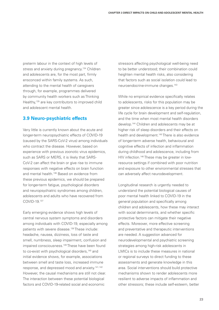preterm labour in the context of high levels of stress and anxiety during pregnancy.<sup>134</sup> Children and adolescents are, for the most part, firmly ensconced within family systems. As such, attending to the mental health of caregivers through, for example, programmes delivered by community health workers such as Thinking Healthy,135 are key contributors to improved child and adolescent mental health.

## **3.9 Neuro-psychiatric effects**

Very little is currently known about the acute and longer-term neuropsychiatric effects of COVID-19 (caused by the SARS-CoV-2 virus) among individuals who contract the disease. However, based on experience with previous zoonotic virus epidemics, such as SARS or MERS, it is likely that SARS-CoV-2 can affect the brain or give rise to immune responses with negative effects on brain function and mental health.<sup>136</sup> Based on evidence from these previous epidemics, we should be prepared for longer-term fatigue, psychological disorders and neuropsychiatric syndromes among children, adolescents and adults who have recovered from COVID-19.137

Early emerging evidence shows high levels of central nervous system symptoms and disorders among individuals with COVID-19, especially among patients with severe disease.<sup>138</sup> These include: headache, nausea, dizziness, loss of taste and smell, numbness, sleep impairment, confusion and impaired consciousness.<sup>139</sup> These have been found to co-exist with psychological disorders,<sup>140</sup> and initial evidence shows, for example, associations between smell and taste loss, increased immune response, and depressed mood and anxiety.141,142 However, the causal mechanisms are still not clear. The interaction between these potential biological factors and COVID-19-related social and economic

stressors affecting psychological well-being need to be better understood; their combination could heighten mental health risks, also considering that factors such as social isolation could lead to neuroendocrine-immune changes.143

While no empirical evidence specifically relates to adolescents, risks for this population may be greater since adolescence is a key period during the life cycle for brain development and self-regulation, and the time when most mental health disorders develop.144 Children and adolescents may be at higher risk of sleep disorders and their effects on health and development.<sup>145</sup> There is also evidence of longer-term adverse health, behavioural and cognitive effects of infection and inflammation during childhood and adolescence, including from HIV infection.146 These may be greater in lowresource settings if combined with poor nutrition and exposure to other environmental stresses that can adversely affect neurodevelopment.

Longitudinal research is urgently needed to understand the potential biological causes of poor mental health linked to COVID-19 in the general population and specifically among children and adolescents, how these may interact with social determinants, and whether specific protective factors can mitigate their negative effects. Moreover, more effective screening and preventative and therapeutic interventions are needed. A suggestion advanced for neurodevelopmental and psychiatric screening strategies among high-risk adolescents in LMICs is to include these measures in national or regional surveys to direct funding to these assessments and generate knowledge in this area. Social interventions should build protective mechanisms shown to render adolescents more resilient to adverse impacts of inflammation and other stressors; these include self-esteem, better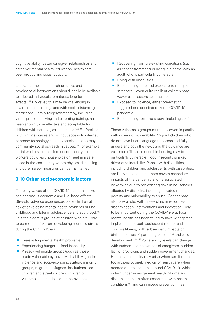cognitive ability, better caregiver relationships and caregiver mental health, education, health care, peer groups and social support.

Lastly, a combination of rehabilitative and psychosocial interventions should ideally be available to affected individuals to mitigate long-term health effects.147 However, this may be challenging in low-resourced settings and with social distancing restrictions. Family telepsychotherapy, including virtual problem-solving and parenting training, has been shown to be effective and acceptable for children with neurological conditions.148 For families with high-risk cases and without access to internet or phone technology, the only feasible option may be community social outreach initiatives;<sup>149</sup> for example, social workers, counsellors or community health workers could visit households or meet in a safe space in the community where physical distancing and other safety measures can be maintained.

#### **3.10 Other socioeconomic factors**

The early waves of the COVID-19 pandemic have had enormous economic and livelihood effects. Stressful adverse experiences place children at risk of developing mental health problems during childhood and later in adolescence and adulthood.150 This table details groups of children who are likely to be more at risk from developing mental distress during the COVID-19 era.

- Pre-existing mental health problems.<br>• Experiencing hunger or food insecurity
- 
- Pre-existing mental health problems.<br>• Experiencing hunger or food insecurity<br>• Already vulnerable groups (such as tho ■ Experiencing hunger or food insecurity<br>■ Already vulnerable groups (such as those<br>made vulnerable by poverty, disability, ger made vulnerable by poverty, disability, gender, violence and socio-economic status), minority groups, migrants, refugees, institutionalized children and street children; children of vulnerable adults should not be overlooked
- Recovering from pre-existing conditions (such as cancer treatment) or living in a home with an adult who is particularly vulnerable
- 
- Living with disabilities<br>■ Experiencing repeated exposure to multiple ■ Living with disabilities<br>
■ Experiencing repeated exposure to multiple<br>
stressors – even quite resilient children may waver as stressors accumulate
- Exposed to violence, either pre-existing, triggered or exacerbated by the COVID-19 pandemic
- **Experiencing extreme shocks including conflict.**

These vulnerable groups must be viewed in parallel with drivers of vulnerability. Migrant children who do not have fluent language to access and fully understand both the news and the guidance are vulnerable. Those in unstable housing may be particularly vulnerable. Food insecurity is a key driver of vulnerability. People with disabilities, including children and adolescents with disabilities, are likely to experience more severe secondary impacts of the pandemic and its associated lockdowns due to pre-existing risks in households affected by disability, including elevated rates of poverty and vulnerability to abuse. Gender may also play a role, with pre-existing in resources, discrimination, interventions and innovation likely to be important during the COVID-19 era. Poor mental health has been found to have widespread implications for both adolescent mother and child well-being, with subsequent impacts on birth outcomes,<sup>151</sup> parenting practice<sup>152</sup> and child development.<sup>153-156</sup> Vulnerability levels can change with sudden unemployment of caregivers, sudden lack of provisions and sudden government changes. Hidden vulnerability may arise when families are too anxious to seek medical or health care when needed due to concerns around COVID-19, which in turn undermines general health. Stigma and discrimination are often associated with health conditions<sup>157</sup> and can impede prevention, health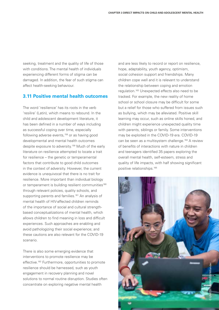seeking, treatment and the quality of life of those with conditions. The mental health of individuals experiencing different forms of stigma can be damaged. In addition, the fear of such stigma can affect health-seeking behaviour.

#### **3.11 Positive mental health outcomes**

The word 'resilience' has its roots in the verb 'resilire' (Latin), which means to rebound. In the child and adolescent development literature, it has been defined in a number of ways including as successful coping over time, especially following adverse events,158 or as having good developmental and mental health outcomes despite exposure to adversity.<sup>159</sup> Much of the early literature on resilience attempted to locate a trait for resilience – the genetic or temperamental factors that contribute to good child outcomes in the context of adversity. However, the current evidence is unequivocal that there is no trait for resilience. More important than individual biology or temperament is building resilient communities<sup>160</sup> through relevant policies, quality schools, and supporting parents and families.<sup>161</sup> An analysis of mental health of HIV-affected children reminds of the importance of social and cultural strengthbased conceptualizations of mental health, which allows children to find meaning in loss and difficult experiences. Such approaches are enabling and avoid pathologizing their social experience; and these cautions are also relevant for the COVID-19 scenario.

There is also some emerging evidence that interventions to promote resilience may be effective.<sup>162</sup> Furthermore, opportunities to promote resilience should be harnessed, such as youth engagement in recovery planning and novel solutions to normal routine disruption. Studies often concentrate on exploring negative mental health

and are less likely to record or report on resilience, hope, adaptability, youth agency, optimism, social cohesion support and friendships. Many children cope well and it is relevant to understand the relationship between coping and emotion regulation.163 Unexpected effects also need to be tracked. For example, the new reality of home school or school closure may be difficult for some but a relief for those who suffered from issues such as bullying, which may be alleviated. Positive skill learning may occur, such as online skills honed, and children might experience unexpected quality time with parents, siblings or family. Some interventions may be exploited in the COVID-19 era. COVID-19 can be seen as a multisystem challenge.<sup>164</sup> A review of benefits of interactions with nature in children and teenagers identified 35 papers exploring the overall mental health, self-esteem, stress and quality of life impacts, with half showing significant positive relationships.165

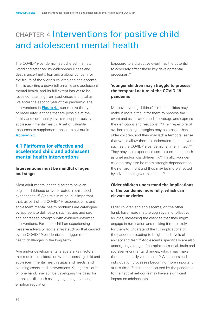# <span id="page-31-0"></span>chapter 4 Interventions for positive child and adolescent mental health

The COVID-19 pandemic has ushered in a new world characterized by widespread illness and death, uncertainty, fear and a global concern for the future of the world's children and adolescents. This is exerting a grave toll on child and adolescent mental health, and its full extent has yet to be revealed. Learning from past crises is critical as we enter the second year of the pandemic. The interventions in Figure 4.1 summarize the type of broad interventions that are possible at the family and community levels to support positive adolescent mental health. A set of valuable resources to supplement these are set out in Appendix 9.

## **4.1 Platforms for effective and accelerated child and adolescent mental health interventions**

#### **Interventions must be mindful of ages and stages**

Most adult mental health disorders have an origin in childhood or were rooted in childhood experiences.166 With this in mind, it is important that, as part of the COVID-19 response, child and adolescent mental health problems are catalogued by appropriate delineators such as age and sex, and addressed promptly with evidence-informed interventions. For those children experiencing massive adversity, acute stress such as that caused by the COVID-19 pandemic can trigger mental health challenges in the long term.

Age and/or developmental stage are key factors that require consideration when assessing child and adolescent mental health status and needs, and planning associated interventions. Younger children, on one hand, may still be developing the basis for complex skills such as language, cognition and emotion regulation.

Exposure to a disruptive event has the potential to adversely affect these key developmental processes.167

#### **Younger children may struggle to process the temporal nature of the COVID-19 pandemic**

Moreover, young children's limited abilities may make it more difficult for them to process the event and associated media coverage and express their emotions and reactions.<sup>168</sup> Their repertoire of available coping strategies may be smaller than older children, and they may lack a temporal sense that would allow them to understand that an event such as the COVID-19 pandemic is time limited.<sup>169</sup> They may also experience complex emotions such as grief and/or loss differently.<sup>170</sup> Finally, younger children may also be more strongly dependent on their environment and thus may be more affected by adverse caregiver reactions.<sup>171</sup>

#### **Older children understand the implications of the pandemic more fully, which can elevate anxieties**

Older children and adolescents, on the other hand, have more mature cognitive and reflective abilities, increasing the chances that they might engage in rumination and making it more likely for them to understand the full implications of the pandemic, leading to heightened levels of anxiety and fear.172 Adolescents specifically are also undergoing a range of complex hormonal, brain and social/environmental changes, which may make them additionally vulnerable.<sup>173</sup> With peers and individuation processes becoming more important at this time,<sup>174</sup> disruptions caused by the pandemic to their social networks may have a significant impact on adolescents.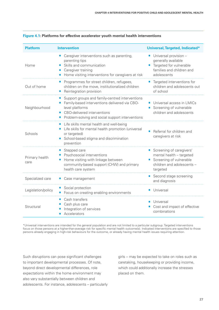| <b>Platform</b>        | <b>Intervention</b>                                                                                                                                                                                    | Universal, Targeted, Indicated*                                                                                                       |
|------------------------|--------------------------------------------------------------------------------------------------------------------------------------------------------------------------------------------------------|---------------------------------------------------------------------------------------------------------------------------------------|
| Home                   | Caregiver interventions such as parenting,<br>ш<br>parenting tips<br>Skills and communication<br>Caregiver training<br>Home visiting interventions for caregivers at risk                              | Universal provision -<br>generally available<br>Targeted for vulnerable<br>$\blacksquare$<br>families and children and<br>adolescents |
| Out of home            | Programmes for street children, refugees,<br>children on the move, institutionalized children<br>Reintegration provision                                                                               | ■ Targeted interventions for<br>children and adolescents out<br>of school                                                             |
| Neighbourhood          | Support groups and family-centred interventions<br>Family-based interventions delivered via CBO-<br>level platforms<br>CBO-delivered interventions<br>Problem-solving and social support interventions | Universal access in LMICs<br>Screening of vulnerable<br>children and adolescents                                                      |
| Schools                | Life skills mental health and well-being<br>Life skills for mental health promotion (universal<br>$\Box$<br>or targeted)<br>School-based stigma and discrimination<br>prevention                       | Referral for children and<br>caregivers at risk                                                                                       |
| Primary health<br>care | Stepped care<br>Psychosocial interventions<br>Home visiting with linkage between<br>community-based support (CHW) and primary<br>health care system                                                    | Screening of caregivers'<br>mental health - targeted<br>Screening of vulnerable<br>children and adolescents -<br>targeted             |
| Specialized care       | Case management                                                                                                                                                                                        | Second stage screening<br>П<br>and diagnosis                                                                                          |
| Legislation/policy     | Social protection<br>Focus on creating enabling environments                                                                                                                                           | Universal                                                                                                                             |
| Structural             | Cash transfers<br>Cash plus care<br>Integration of services<br>Accelerators<br>$\blacksquare$                                                                                                          | <b>Universal</b><br>Cost and impact of effective<br>combinations                                                                      |

#### **Figure 4.1: Platforms for effective accelerator youth mental health interventions**

\*Universal interventions are intended for the general population and are not limited to a particular subgroup. Targeted interventions focus on those persons at a higher-than-average risk for specific mental health outcome(s). Indicated interventions are specified to those persons already engaging in high-risk behaviours for the outcome, or already having mental health issues requiring attention.

Such disruptions can pose significant challenges to important developmental processes. Of note, beyond direct developmental differences, role expectations within the home environment may also vary substantially between children and adolescents. For instance, adolescents – particularly girls -- may be expected to take on roles such as caretaking, housekeeping or providing income, which could additionally increase the stresses placed on them.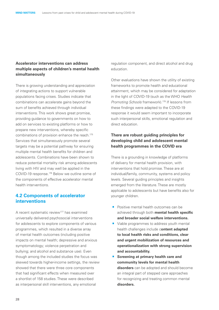#### **Accelerator interventions can address multiple aspects of children's mental health simultaneously**

There is growing understanding and appreciation of integrating actions to support vulnerable populations facing crises. Studies indicate that combinations can accelerate gains beyond the sum of benefits achieved through individual interventions. This work shows great promise, providing guidance to governments on how to add on services to existing platforms or how to prepare new interventions, whereby specific combinations of provision enhance the reach.175 Services that simultaneously promote several targets may be a potential pathway for ensuring multiple mental health benefits for children and adolescents. Combinations have been shown to reduce potential mortality risk among adolescents living with HIV and may well be applied in the COVID-19 response.176 Below we outline some of the components of effective accelerator mental health interventions.

#### **4.2 Components of accelerator interventions**

A recent systematic review<sup>177</sup> has examined universally delivered psychosocial interventions for adolescents to explore components of various programmes, which resulted in a diverse array of mental health outcomes (including positive impacts on mental health; depressive and anxious symptomatology; violence perpetration and bullying; and alcohol and substance use). Even though among the included studies the focus was skewed towards higher-income settings, the review showed that there were three core components that had significant effects when measured over a shortlist of 158 studies. These were described as interpersonal skill interventions, any emotional

regulation component, and direct alcohol and drug education.

Other evaluations have shown the utility of existing frameworks to promote health and educational attainment, which may be considered for adaptation in the light of COVID-19 (such as the WHO *Health Promoting Schools* framework).178 If lessons from these findings were adapted to the COVID-19 response it would seem important to incorporate such interpersonal skills, emotional regulation and direct education.

#### **There are robust guiding principles for developing child and adolescent mental health programmes in the COVID era**

There is a grounding in knowledge of platforms of delivery for mental health provision, with interventions that hold promise. These are at individual/family, community, systems and policy levels. Several guiding principles and insights emerged from the literature. These are mostly applicable to adolescents but have benefits also for younger children.

- Positive mental health outcomes can be achieved through both **mental health specific and broader social welfare interventions.**
- Viable programmes to address youth mental health challenges include c**ontent adapted to local health risks and conditions, clear and urgent mobilization of resources and operationalization with strong supervision and accountability.**
- · **Screening at primary health care and community levels for mental health disorders** can be adopted and should become an integral part of stepped care approaches for recognizing and treating common mental **disorders.**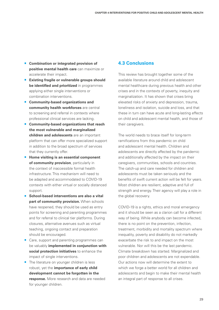- · **Combination or integrated provision of positive mental health care** can maximize or accelerate their impact.
- · **Existing fragile or vulnerable groups should be identified and prioritized** in programmes applying either single interventions or combination interventions.
- · **Community-based organizations and community health workforces** are central to screening and referral in contexts where professional clinical services are lacking.
- Community-based organizations that reach **the most vulnerable and marginalized children and adolescents** are an important platform that can offer more specialized support in addition to the broad spectrum of services that they currently offer.
- · **Home visiting is an essential component of community provision**, particularly in the context of inaccessible formal health infrastructure. This mechanism will need to be adapted and accommodated to COVID-19 contexts with either virtual or socially distanced support.
- support.<br> **School-based interventions are also a vital part of community provision.** When schools have reopened, they should be used as entry points for screening and parenting programmes and for referral to clinical tier platforms. During closures, alternative avenues such as virtual teaching, ongoing contact and preparation should be encouraged.
- Care, support and parenting programmes can be valuably **implemented in conjunction with social protection initiatives** to enhance the impact of single interventions.
- impact of single interventions.<br>■ The literature on younger children is less robust, yet the **importance of early child development cannot be forgotten in the response.** More research and data are needed for younger children.

## **4.3 Conclusions**

This review has brought together some of the available literature around child and adolescent mental healthcare during previous health and other crises and in the contexts of poverty, inequity and marginalization. It has shown that crises bring elevated risks of anxiety and depression, trauma, loneliness and isolation, suicide and loss, and that these in turn can have acute and long-lasting effects on child and adolescent mental health, and those of their caregivers.

The world needs to brace itself for long-term ramifications from this pandemic on child and adolescent mental health. Children and adolescents are directly affected by the pandemic and additionally affected by the impact on their caregivers, communities, schools and countries. The catch-up and care needed for children and adolescents must be taken seriously and the benefits of swift current action will be felt for years. Most children are resilient, adaptive and full of strength and energy. Their agency will play a role in the global recovery.

COVID-19 is a rights, ethics and moral emergency and it should be seen as a clarion call for a different way of being. While anybody can become infected, there is no point on the prevention, infection, treatment, morbidity and mortality spectrum where inequality, poverty and disability do not markedly exacerbate the risk to and impact on the most vulnerable. Nor will this be the last pandemic. Climate breakdown has started. Marginalized and poor children and adolescents are not expendable. Our actions now will determine the extent to which we forge a better world for all children and adolescents and begin to make their mental health an integral part of response to all crises.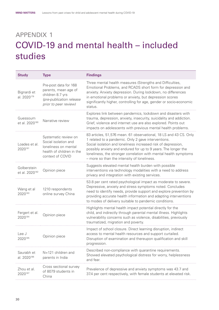## <span id="page-35-0"></span>appendix 1 COVID-19 and mental health – included studies

| <b>Study</b>                              | <b>Type</b>                                                                                                            | <b>Findings</b>                                                                                                                                                                                                                                                                                                                                                                |
|-------------------------------------------|------------------------------------------------------------------------------------------------------------------------|--------------------------------------------------------------------------------------------------------------------------------------------------------------------------------------------------------------------------------------------------------------------------------------------------------------------------------------------------------------------------------|
| Bignardi et<br>al. 2020 <sup>179</sup>    | Pre-post data for 168<br>parents, mean age of<br>children 8.7 yrs<br>(pre-publication release<br>prior to peer review) | Three mental health measures (Strengths and Difficulties,<br>Emotional Problems, and RCADS short form for depression and<br>anxiety. Anxiety depression. During lockdown, no differences<br>in emotional problems or anxiety, but depression scores<br>significantly higher, controlling for age, gender or socio-economic<br>status.                                          |
| Guessoum<br>et al. 2020 <sup>180</sup>    | Narrative review                                                                                                       | Explores link between pandemics, lockdown and disasters with<br>trauma, depression, anxiety, insecurity, suicidality and addiction.<br>Grief, violence and internet use are also explored. Points out<br>impacts on adolescents with previous mental health problems.                                                                                                          |
| Loades et al.<br>2020181                  | Systematic review on<br>Social isolation and<br>loneliness on mental<br>health of children in the<br>context of COVID  | 83 articles, 51,576 mean. 61 observational, 18 LS and 43 CS. Only<br>1 related to a pandemic. Only 2 gave interventions.<br>Social isolation and loneliness increased risk of depression,<br>possibly anxiety and endured for up to 9 years. The longer the<br>loneliness, the stronger correlation with mental health symptoms<br>- more so than the intensity of loneliness. |
| Golberstein<br>et al. 2020 <sup>182</sup> | Opinion piece                                                                                                          | Suggests elevated mental health burden with possible<br>interventions via technology modalities with a need to address<br>privacy and integration with existing services.                                                                                                                                                                                                      |
| Wang et al<br>2020183                     | 1210 respondents<br>online survey China                                                                                | 53.8 per cent rated psychological impact as moderate to severe.<br>Depressive, anxiety and stress symptoms noted. Concludes<br>need to identify needs, provide support and explore prevention by<br>providing accurate health information and adapting interventions<br>to modes of delivery suitable to pandemic conditions.                                                  |
| Fergert et al.<br>2020184                 | Opinion piece                                                                                                          | Highlights mental health impact potential directly for the<br>child, and indirectly through parental mental illness. Highlights<br>vulnerability concerns such as violence, disabilities, previously<br>traumatized, migration and poverty.                                                                                                                                    |
| Lee J<br>2020185                          | Opinion piece                                                                                                          | Impact of school closure. Direct learning disruption, indirect<br>access to mental health resources and support curtailed.<br>Disruption of examination and thereupon qualification and skill<br>progression.                                                                                                                                                                  |
| Saurabh et<br>al. 2020 <sup>186</sup>     | $N=121$ children and<br>parents in India                                                                               | Described non-compliance with quarantine requirements.<br>Showed elevated psychological distress for worry, helplessness<br>and fear.                                                                                                                                                                                                                                          |
| Zhou et al.<br>2020187                    | Cross sectional survey<br>of 8079 students in<br>China                                                                 | Prevalence of depressive and anxiety symptoms was 43.7 and<br>37.4 per cent respectively, with female students at elevated risk.                                                                                                                                                                                                                                               |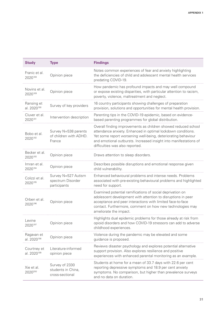| <b>Study</b>                           | <b>Type</b>                                              | <b>Findings</b>                                                                                                                                                                                                                                                                                         |  |
|----------------------------------------|----------------------------------------------------------|---------------------------------------------------------------------------------------------------------------------------------------------------------------------------------------------------------------------------------------------------------------------------------------------------------|--|
| Franic et al.<br>2020188               | Opinion piece                                            | Notes common experiences of fear and anxiety highlighting<br>the deficiencies of child and adolescent mental health services<br>predating COVID-19.                                                                                                                                                     |  |
| Novins et al.<br>2020189               | Opinion piece                                            | How pandemic has profound impacts and may well compound<br>or expose existing disparities, with particular attention to racism,<br>poverty, violence, maltreatment and neglect.                                                                                                                         |  |
| Ransing et<br>al. 2020 <sup>190</sup>  | Survey of key providers                                  | 16 country participants showing challenges of preparation<br>provision, solutions and opportunities for mental health provision.                                                                                                                                                                        |  |
| Cluver et al.<br>2020191               | Intervention description                                 | Parenting tips in the COVID-19 epidemic, based on evidence-<br>based parenting programmes for global distribution.                                                                                                                                                                                      |  |
| Bobo et al.<br>2020192                 | Survey N=538 parents<br>of children with ADHD.<br>France | Overall finding improvements as children showed reduced school<br>attendance anxiety. Enhanced in optimal lockdown conditions.<br>Yet some report worsening well-being, deteriorating behaviour<br>and emotional outbursts. Increased insight into manifestations of<br>difficulties was also reported. |  |
| Becker et al.<br>2020193               | Opinion piece                                            | Draws attention to sleep disorders.                                                                                                                                                                                                                                                                     |  |
| Imran et al.<br>2020194                | Opinion piece                                            | Describes possible disruptions and emotional response given<br>child vulnerability.                                                                                                                                                                                                                     |  |
| Colizzi et al.<br>2020195              | Survey N=527 Autism<br>spectrum Disorder<br>participants | Enhanced behavioural problems and intense needs. Problems<br>associated with pre-existing behavioural problems and highlighted<br>need for support.                                                                                                                                                     |  |
| Orben et al.<br>2020196                | Opinion piece                                            | Examined potential ramifications of social deprivation on<br>adolescent development with attention to disruptions in peer<br>acceptance and peer interactions with limited face-to-face<br>contact. Furthermore, comment on how new technologies may<br>ameliorate the impact.                          |  |
| Levine<br>2020197                      | Opinion piece                                            | Highlights dual epidemic problems for those already at risk from<br>opioid disorders and how COVID-19 stressors can add to adverse<br>childhood experiences.                                                                                                                                            |  |
| Ragavan et<br>al. 2020 <sup>198</sup>  | Opinion piece                                            | Violence during the pandemic may be elevated and some<br>guidance is proposed.                                                                                                                                                                                                                          |  |
| Courtney et<br>al. 2020 <sup>199</sup> | Literature-informed<br>opinion piece                     | Reviews disaster psychology and explores potential alternative<br>support provision. Also explores resilience and positive<br>experiences with enhanced parental monitoring as an example.                                                                                                              |  |
| Xie et al.<br>2020200                  | Survey of 2330<br>students in China,<br>cross-sectional  | Students at home for a mean of 33.7 days with 22.6 per cent<br>reporting depressive symptoms and 18.9 per cent anxiety<br>symptoms. No comparison, but higher than prevalence surveys<br>and no data on duration.                                                                                       |  |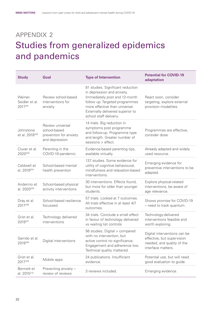## <span id="page-37-0"></span>appendix 2 Studies from generalized epidemics and pandemics

| <b>Study</b>                            | Goal                                                                         | <b>Type of Intervention</b>                                                                                                                                                                                                        | <b>Potential for COVID-19</b><br>adaptation                                                                    |
|-----------------------------------------|------------------------------------------------------------------------------|------------------------------------------------------------------------------------------------------------------------------------------------------------------------------------------------------------------------------------|----------------------------------------------------------------------------------------------------------------|
| Weiner-<br>Seidler et al.<br>2017201    | Review school-based<br>interventions for<br>anxiety                          | 81 studies. Significant reduction<br>in depression and anxiety.<br>Immediately post and 12-month<br>follow up. Targeted programmes<br>more effective than universal.<br>Externally delivered superior to<br>school staff delivery. | React soon, consider<br>targeting, explore external<br>provision modalities.                                   |
| Johnstone<br>et al. 2018 <sup>202</sup> | Review universal<br>school-based<br>prevention for anxiety<br>and depression | 14 trials. Big reduction in<br>symptoms post programme<br>and follow-up. Programme type<br>and length. Greater number of<br>sessions > effect.                                                                                     | Programmes are effective,<br>consider dose.                                                                    |
| Cluver et al.<br>2020203                | Parenting in the<br>COVID-19 pandemic                                        | Evidence-based parenting tips,<br>available virtually.                                                                                                                                                                             | Already adapted and widely<br>used resource.                                                                   |
| Caldwell et<br>al. 2019 <sup>204</sup>  | School-based mental<br>health prevention                                     | 137 studies. Some evidence for<br>utility of cognitive behavioural,<br>mindfulness and relaxation-based<br>interventions.                                                                                                          | Emerging evidence for<br>preventive interventions to be<br>adapted.                                            |
| Andermo et<br>al. 2020 <sup>205</sup>   | School-based physical<br>activity interventions                              | 30 interventions. Effects found,<br>but more for older than younger<br>students.                                                                                                                                                   | Explore physical-related<br>interventions, be aware of<br>age relevance.                                       |
| Dray et al.<br>2017206                  | School-based resilience<br>focussed                                          | 57 trials. Looked at 7 outcomes.<br>All trials effective in at least 4/7<br>outcomes.                                                                                                                                              | Shows promise for COVID-19<br>- need to track quantum.                                                         |
| Grist et al.<br>2019207                 | Technology delivered<br>interventions                                        | 34 trials. Conclude a small effect<br>in favour of technology delivered<br>vs waiting list controls                                                                                                                                | Technology-delivered<br>interventions feasible and<br>worth exploring.                                         |
| Garrido et al.<br>2019208               | Digital interventions                                                        | 56 studies. Digital > compared<br>with no intervention, but<br>active control no significance.<br>Engagement and adherence low.<br>Technical quality mattered.                                                                     | Digital interventions can be<br>effective, but supervision<br>needed, and quality of the<br>interface matters. |
| Grist et al.<br>2017209                 | Mobile apps                                                                  | 24 publications. Insufficient<br>evidence.                                                                                                                                                                                         | Potential use, but will need<br>good evaluation to guide.                                                      |
| Bennett et<br>al. 2015 <sup>210</sup>   | Preventing anxiety -<br>review of reviews                                    | 3 reviews included.                                                                                                                                                                                                                | Emerging evidence.                                                                                             |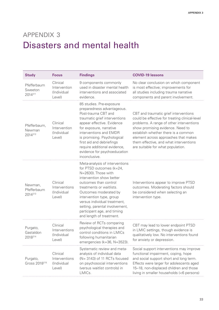## <span id="page-38-0"></span>appendix 3 Disasters and mental health

| <b>Study</b>                          | <b>Focus</b>                                       | <b>Findings</b>                                                                                                                                                                                                                                                                                                                                      | <b>COVID-19 lessons</b>                                                                                                                                                                                                                                                                                                               |
|---------------------------------------|----------------------------------------------------|------------------------------------------------------------------------------------------------------------------------------------------------------------------------------------------------------------------------------------------------------------------------------------------------------------------------------------------------------|---------------------------------------------------------------------------------------------------------------------------------------------------------------------------------------------------------------------------------------------------------------------------------------------------------------------------------------|
| Pfefferbaum<br>Sweeton<br>2014211     | Clinical<br>Intervention<br>(Individual<br>Level)  | 9 components commonly<br>used in disaster mental health<br>interventions and associated<br>evidence.                                                                                                                                                                                                                                                 | No clear conclusion on which component<br>is most effective; improvements for<br>all studies including trauma narrative<br>components and parent involvement.                                                                                                                                                                         |
| Pfefferbaum,<br>Newman<br>2014212     | Clinical<br>Intervention<br>(Individual<br>Level)  | 85 studies. Pre-exposure<br>preparedness advantageous.<br>Post-trauma CBT and<br>traumatic grief interventions<br>appear effective. Evidence<br>for exposure, narrative<br>interventions and EMDR<br>is promising. Psychological<br>first aid and debriefings<br>require additional evidence,<br>evidence for psychoeducation<br>inconclusive.       | CBT and traumatic grief interventions<br>could be effective for treating clinical-level<br>problems. A range of other interventions<br>show promising evidence. Need to<br>establish whether there is a common<br>element across approaches that makes<br>them effective, and what interventions<br>are suitable for what population. |
| Newman,<br>Pfefferbaum<br>2014213     | Clinical<br>Interventions<br>(Individual<br>Level) | Meta-analysis of interventions<br>for PTSD outcomes (k=24,<br>N=2630). Those with<br>intervention show better<br>outcomes than control<br>treatments or waitlists.<br>Outcomes moderated by<br>intervention type, group<br>versus individual treatment,<br>setting, parental involvement,<br>participant age, and timing<br>and length of treatment. | Interventions appear to improve PTSD<br>outcomes. Moderating factors should<br>be considered when selecting an<br>intervention type.                                                                                                                                                                                                  |
| Purgato,<br>Gastaldon<br>2018214      | Clinical<br>Interventions<br>(Individual<br>Level) | Review of RCTs comparing<br>psychological therapies and<br>control conditions in LMICs<br>following humanitarian<br>emergencies (k=36, N=3523).                                                                                                                                                                                                      | CBT may lead to lower endpoint PTSD<br>in LMIC settings, though evidence is<br>qualitatively low. No interventions found<br>for anxiety or depression.                                                                                                                                                                                |
| Purgato,<br>Gross 2018 <sup>215</sup> | Clinical<br>Interventions<br>(Individual<br>Level) | Systematic review and meta-<br>analysis of individual data<br>(N= 3143) of 11 RCTs focused<br>on psychosocial interventions<br>(versus waitlist controls) in<br>LMICs.                                                                                                                                                                               | Social support interventions may improve<br>functional impairment, coping, hope<br>and social support short and long term.<br>Effects were larger for adolescents aged<br>15-18, non-displaced children and those<br>living in smaller households (<6 persons)                                                                        |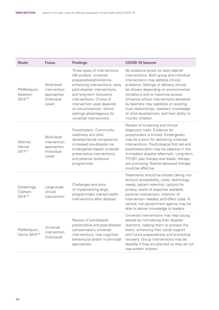| <b>Study</b>                              | <b>Focus</b>                                                       | <b>Findings</b>                                                                                                                                                                                                                                                                                                                 | <b>COVID-19 lessons</b>                                                                                                                                                                                                                                                                                                                                                                                                                            |
|-------------------------------------------|--------------------------------------------------------------------|---------------------------------------------------------------------------------------------------------------------------------------------------------------------------------------------------------------------------------------------------------------------------------------------------------------------------------|----------------------------------------------------------------------------------------------------------------------------------------------------------------------------------------------------------------------------------------------------------------------------------------------------------------------------------------------------------------------------------------------------------------------------------------------------|
| Pfefferbaum,<br>Sweeton<br>2014216        | Multi-level<br>intervention<br>approaches<br>(Individual<br>Level) | Three types of interventions<br>(48 studies): universal<br>preparedness/resilience-<br>enhancing interventions, early<br>post-disaster interventions,<br>and long-term (recovery)<br>interventions. Choice of<br>intervention used depends<br>on circumstances. School<br>settings advantageous for<br>universal interventions. | No evidence exists for early debrief<br>interventions. Both group and individual<br>interventions may address clinical<br>problems. Settings of delivery should<br>be chosen depending on environmental<br>conditions and to maximize access.<br>Universal school interventions delivered<br>by teachers may capitalize on existing<br>trust relationships, teachers' knowledge<br>of child development, and their ability to<br>monitor children. |
| Wolmer,<br>Hamiel<br>2017217              | Multi-level<br>intervention<br>approaches<br>(Individual<br>Level) | Preschoolers. Community<br>readiness and child<br>developmental competence<br>increased pre-disaster via<br>kindergarten-based universal<br>preventative interventions,<br>and parental resilience<br>programmes.                                                                                                               | Review of screening and clinical<br>diagnostic tools. Evidence for<br>preschoolers is limited. Kindergarten<br>may be a point for delivering universal<br>interventions. Psychological first aid and<br>psychoeducation may be adaptive in the<br>immediate disaster aftermath. Long-term,<br>TF-CBT, play therapy and dyadic therapy<br>are promising. Teacher-delivered therapy<br>could be effective.                                           |
| Scheeringa,<br>Cobham<br>2014218          | Large-scale<br>clinical<br>intervention                            | Challenges and aims<br>of implementing large,<br>programmatic mental health<br>interventions after disaster.                                                                                                                                                                                                                    | Treatments should be chosen taking into<br>account accessibility, costs, technology<br>needs, patient retention, options for<br>privacy, levels of expertise available,<br>parental involvement, intensity of<br>intervention needed, and effect sizes. A<br>central, non-government agency may be<br>able to deliver knowledge to leaders.                                                                                                        |
| Pfefferbaum,<br>Varma 2014 <sup>219</sup> | Universal<br>intervention<br>(Individual)                          | Review of pre-disaster<br>compensatory universal<br>interventions. Use cognitive-<br>behavioural and/or multimodal<br>approaches.                                                                                                                                                                                               | Universal interventions may help young<br>people by normalizing their disaster<br>preventative and post-disaster reactions, helping them to process the<br>event, enhancing their social support<br>and future preparedness and promoting<br>recovery. Group interventions may be<br>feasible if they are planned so they do not<br>overwhelm children.                                                                                            |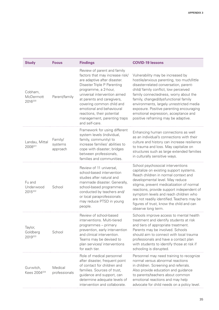| <b>Study</b>                          | <b>Focus</b>                   | <b>Findings</b>                                                                                                                                                                                                                                                                                                                                              | <b>COVID-19 lessons</b>                                                                                                                                                                                                                                                                                                                                                                                                    |
|---------------------------------------|--------------------------------|--------------------------------------------------------------------------------------------------------------------------------------------------------------------------------------------------------------------------------------------------------------------------------------------------------------------------------------------------------------|----------------------------------------------------------------------------------------------------------------------------------------------------------------------------------------------------------------------------------------------------------------------------------------------------------------------------------------------------------------------------------------------------------------------------|
| Cobham,<br>McDermott<br>2016220       | Parent/family                  | Review of parent and family<br>factors that may increase risk/<br>are adaptive after disaster.<br>Disaster Triple P Parenting<br>programme, a 2-hour,<br>universal intervention aimed<br>at parents and caregivers,<br>covering common child and<br>emotional and behavioural<br>reactions, their potential<br>management, parenting traps<br>and self-care. | Vulnerability may be increased by<br>hostile/anxious parenting, too much/little<br>disaster-related conversation, parent-<br>child/ family conflict, low perceived<br>family connectedness, worry about the<br>family, changed/dysfunctional family<br>environments, largely unrestricted media<br>exposure. Positive parenting encouraging<br>emotional expression, acceptance and<br>positive reframing may be adaptive. |
| Landau, Mittal<br>2008221             | Family/<br>systems<br>approach | Framework for using different<br>system levels (individual,<br>family, community) to<br>increase families' abilities to<br>cope with disaster; bridges<br>between professionals,<br>families and communities.                                                                                                                                                | Enhancing human connections as well<br>as an individual's connections with their<br>culture and history can increase resilience<br>to trauma and loss. May capitalize on<br>structures such as large extended families<br>in culturally sensitive ways.                                                                                                                                                                    |
| Fu and<br>Underwood<br>2015222        | School                         | Review of 11 universal,<br>school-based intervention<br>studies after natural and<br>manmade disaster. Generally,<br>school-based programmes<br>conducted by teachers and/<br>or local paraprofessionals<br>may reduce PTSD in young<br>people.                                                                                                              | School psychosocial interventions<br>capitalize on existing support systems.<br>Reach children in normal context and<br>developmental level. May reduce<br>stigma, prevent medicalization of normal<br>reactions, provide support independent of<br>symptom levels and reach children who<br>are not readily identified. Teachers may be<br>figures of trust, know the child and can<br>observe long term.                 |
| Taylor,<br>Goldberg<br>2019223        | School                         | Review of school-based<br>interventions. Multi-tiered<br>programmes – primary<br>prevention, early intervention<br>and clinical intervention.<br>Teams may be devised to<br>plan services/ interventions<br>for each tier.                                                                                                                                   | Schools improve access to mental health<br>treatment and identify students at risk<br>and tiers of appropriate treatment.<br>Parents may be involved. Schools<br>should aim to connect with local trauma<br>professionals and have a contact plan<br>with students to identify those at risk if<br>schooling is disrupted.                                                                                                 |
| Gurwitch,<br>Kees 2004 <sup>224</sup> | Medical<br>professionals       | Role of medical personnel<br>after disaster, frequent point<br>of contact for children and<br>families. Sources of trust,<br>guidance and support, can<br>determine adequate levels of<br>intervention and collaborate.                                                                                                                                      | Personnel may need training to recognize<br>normal versus abnormal reactions<br>in children. Screening and referrals.<br>Also provide education and guidance<br>to parents/teachers about common<br>emotional reactions and may help<br>advocate for child needs on a policy level.                                                                                                                                        |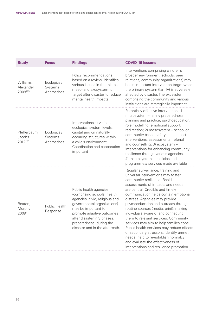| <b>Study</b>                      | <b>Focus</b>                         | <b>Findings</b>                                                                                                                                                                                                                                                         | <b>COVID-19 lessons</b>                                                                                                                                                                                                                                                                                                                                                                                                                                                                                                                                                                                                                                                               |
|-----------------------------------|--------------------------------------|-------------------------------------------------------------------------------------------------------------------------------------------------------------------------------------------------------------------------------------------------------------------------|---------------------------------------------------------------------------------------------------------------------------------------------------------------------------------------------------------------------------------------------------------------------------------------------------------------------------------------------------------------------------------------------------------------------------------------------------------------------------------------------------------------------------------------------------------------------------------------------------------------------------------------------------------------------------------------|
| Williams,<br>Alexander<br>2008225 | Ecological/<br>Systems<br>Approaches | Policy recommendations<br>based on a review. Identifies<br>various issues in the micro-,<br>meso- and exosystem to<br>target after disaster to reduce<br>mental health impacts.                                                                                         | Interventions comprising children's<br>broader environment (schools, peer<br>relations, community organizations) may<br>be an important intervention target when<br>the primary system (family) is adversely<br>affected by disaster. The exosystem,<br>comprising the community and various<br>institutions are strategically important.                                                                                                                                                                                                                                                                                                                                             |
| Pfefferbaum,<br>Jacobs<br>2012226 | Ecological/<br>Systems<br>Approaches | Interventions at various<br>ecological system levels,<br>capitalizing on naturally<br>occurring structures within<br>a child's environment.<br>Coordination and cooperation<br>important                                                                                | Potentially effective interventions 1)<br>microsystem - family preparedness,<br>planning and practice, psychoeducation,<br>role modelling, emotional support,<br>redirection; 2) mesosystem - school or<br>community-based safety and support<br>interventions, assessments, referral<br>and counselling; 3) ecosystem -<br>interventions for enhancing community<br>resilience through various agencies,<br>4) macrosystems - policies and<br>programmes/ services made available                                                                                                                                                                                                    |
| Beaton,<br>Murphy<br>2009227      | Public Health<br>Response            | Public health agencies<br>(comprising schools, health<br>agencies, civic, religious and<br>governmental organizations)<br>may be important to<br>promote adaptive outcomes<br>after disaster in 3 phases:<br>preparedness, during the<br>disaster and in the aftermath. | Regular surveillance, training and<br>universal interventions may foster<br>community resilience. Rapid<br>assessments of impacts and needs<br>are central. Credible and timely<br>communication helps contain emotional<br>distress. Agencies may provide<br>psychoeducation and outreach through<br>routine sources (media, print), making<br>individuals aware of and connecting<br>them to relevant services. Community<br>services may aim to help families cope.<br>Public health services may reduce effects<br>of secondary stressors, identify unmet<br>needs, help to re-establish normalcy<br>and evaluate the effectiveness of<br>interventions and resilience promotion. |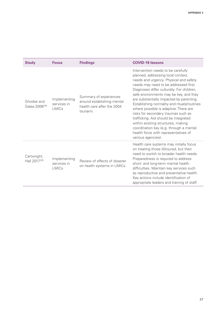| <b>Study</b>                            | <b>Focus</b>                                | <b>Findings</b>                                                                                | <b>COVID-19 lessons</b>                                                                                                                                                                                                                                                                                                                                                                                                                                                                                                                                                                                                |
|-----------------------------------------|---------------------------------------------|------------------------------------------------------------------------------------------------|------------------------------------------------------------------------------------------------------------------------------------------------------------------------------------------------------------------------------------------------------------------------------------------------------------------------------------------------------------------------------------------------------------------------------------------------------------------------------------------------------------------------------------------------------------------------------------------------------------------------|
| Ghodse and<br>Galea 2006 <sup>228</sup> | Implementing<br>services in<br><b>LMICs</b> | Summary of experiences<br>around establishing mental<br>health care after the 2004<br>tsunami. | Intervention needs to be carefully<br>planned, addressing local context,<br>needs and urgency. Physical and safety<br>needs may need to be addressed first.<br>Diagnoses differ culturally. For children,<br>safe environments may be key, and they<br>are substantially impacted by parenting.<br>Establishing normality and rituals/routines<br>where possible is adaptive. There are<br>risks for secondary traumas such as<br>trafficking. Aid should be integrated<br>within existing structures, making<br>coordination key (e.g. through a mental<br>health force with representatives of<br>various agencies). |
| Cartwright,<br>Hall 2017 <sup>229</sup> | Implementing<br>services in<br><b>LMICs</b> | Review of effects of disaster<br>on health systems in LMICs.                                   | Health care systems may initially focus<br>on treating those ill/injured, but then<br>need to switch to broader health needs.<br>Preparedness is required to address<br>short- and long-term mental health<br>difficulties. Maintain key services such<br>as reproductive and preventative health.<br>Key actions include identification of<br>appropriate leaders and training of staff.                                                                                                                                                                                                                              |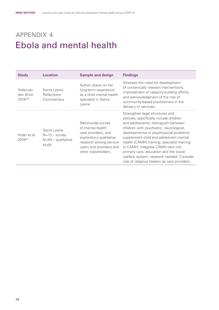## <span id="page-43-0"></span>appendix 4 Ebola and mental health

| <b>Study</b>                        | <b>Location</b>                                                  | <b>Sample and design</b>                                                                                                                                           | <b>Findings</b>                                                                                                                                                                                                                                                                                                                                                                                                                                                                |
|-------------------------------------|------------------------------------------------------------------|--------------------------------------------------------------------------------------------------------------------------------------------------------------------|--------------------------------------------------------------------------------------------------------------------------------------------------------------------------------------------------------------------------------------------------------------------------------------------------------------------------------------------------------------------------------------------------------------------------------------------------------------------------------|
| Yoder-van<br>den Brink<br>2019230   | Sierra Leone<br>Reflections<br>Commentary                        | Author draws on her<br>long-term experience<br>as a child mental health<br>specialist in Sierra<br>Leone                                                           | Stresses the need for development<br>of contextually relevant interventions,<br>improvement of capacity-building efforts,<br>and acknowledgment of the role of<br>community-based practitioners in the<br>delivery of services.                                                                                                                                                                                                                                                |
| Yoder et al.<br>2016 <sup>231</sup> | Sierra Leone<br>$N=13$ – survey<br>$N=44$ – qualitative<br>study | Nationwide survey<br>of mental health<br>care providers, and<br>exploratory qualitative<br>research among service<br>users and providers and<br>other stakeholders | Strengthen legal structures and<br>policies; specifically include children<br>and adolescents; distinguish between<br>children with psychiatric, neurological,<br>developmental or psychosocial problems;<br>supplement child and adolescent mental<br>health (CAMH) training; specialist training<br>in CAMH; integrate CAMH care into<br>primary care, education and the social<br>welfare system; research needed. Consider<br>role of religious healers as care providers. |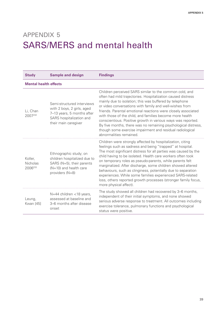# <span id="page-44-0"></span>appendix 5 SARS/MERS and mental health

| <b>Study</b>                   | <b>Sample and design</b>                                                                                                                   | <b>Findings</b>                                                                                                                                                                                                                                                                                                                                                                                                                                                                                                                                                                                                |
|--------------------------------|--------------------------------------------------------------------------------------------------------------------------------------------|----------------------------------------------------------------------------------------------------------------------------------------------------------------------------------------------------------------------------------------------------------------------------------------------------------------------------------------------------------------------------------------------------------------------------------------------------------------------------------------------------------------------------------------------------------------------------------------------------------------|
| <b>Mental health effects</b>   |                                                                                                                                            |                                                                                                                                                                                                                                                                                                                                                                                                                                                                                                                                                                                                                |
| Li, Chan<br>2007232            | Semi-structured interviews<br>with 2 boys, 2 girls, aged<br>7-13 years, 5 months after<br>SARS hospitalization and<br>their main caregiver | Children perceived SARS similar to the common cold, and<br>often had mild trajectories. Hospitalization caused distress<br>mainly due to isolation; this was buffered by telephone<br>or video conversations with family and well-wishes from<br>friends. Parental emotional reactions were closely associated<br>with those of the child, and families become more health<br>conscientious. Positive growth in various ways was reported.<br>By five months, there was no remaining psychological distress,<br>though some exercise impairment and residual radiological<br>abnormalities remained.           |
| Koller,<br>Nicholas<br>2006233 | Ethnographic study; on<br>children hospitalized due to<br>SARS ( $N=5$ ), their parents<br>$(N=10)$ and health care<br>providers (N=8)     | Children were strongly affected by hospitalization, citing<br>feelings such as sadness and being "trapped" at hospital.<br>The most significant distress for all parties was caused by the<br>child having to be isolated. Health care workers often took<br>on temporary roles as pseudo-parents, while parents felt<br>marginalized. After discharge, some children showed altered<br>behaviours, such as clinginess, potentially due to separation<br>experiences. While some families experienced SARS-related<br>loss, others reported growth processes (stronger family focus,<br>more physical affect). |
| Leung,<br>Kwan [45]            | $N=44$ children <18 years,<br>assessed at baseline and<br>3–6 months after disease<br>onset                                                | The study showed all children had recovered by 3-6 months,<br>independent of their initial symptoms, and none showed<br>serious adverse response to treatment. All outcomes including<br>exercise tolerance, pulmonary functions and psychological<br>status were positive.                                                                                                                                                                                                                                                                                                                                    |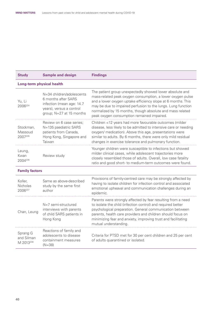| <b>Study</b>                          | <b>Sample and design</b>                                                                                                              | <b>Findings</b>                                                                                                                                                                                                                                                                                                                                                   |  |  |
|---------------------------------------|---------------------------------------------------------------------------------------------------------------------------------------|-------------------------------------------------------------------------------------------------------------------------------------------------------------------------------------------------------------------------------------------------------------------------------------------------------------------------------------------------------------------|--|--|
| <b>Long-term physical health</b>      |                                                                                                                                       |                                                                                                                                                                                                                                                                                                                                                                   |  |  |
| Yu, Li<br>2006234                     | N=34 children/adolescents<br>6 months after SARS<br>infection (mean age: 14.7<br>years), versus a control<br>group; N=27 at 15 months | The patient group unexpectedly showed lower absolute and<br>mass-related peak oxygen consumption, a lower oxygen pulse<br>and a lower oxygen uptake efficiency slope at 6 months. This<br>may be due to impaired perfusion to the lungs. Lung function<br>normalized by 15 months, though absolute and mass related<br>peak oxygen consumption remained impaired. |  |  |
| Stockman,<br>Massoud<br>2007235       | Review on 6 case series;<br>N=135 paediatric SARS<br>patients from Canada,<br>Hong Kong, Singapore and<br>Taiwan                      | Children <12 years had more favourable outcomes (milder<br>disease, less likely to be admitted to intensive care or needing<br>oxygen/ medication). Above this age, presentations were<br>similar to adults. By 6 months, there were only mild residual<br>changes in exercise tolerance and pulmonary function.                                                  |  |  |
| Leung,<br>Kwan<br>2004236             | Review study                                                                                                                          | Younger children were susceptible to infections but showed<br>milder clinical cases, while adolescent trajectories more<br>closely resembled those of adults. Overall, low case fatality<br>ratio and good short- to medium-term outcomes were found.                                                                                                             |  |  |
| <b>Family factors</b>                 |                                                                                                                                       |                                                                                                                                                                                                                                                                                                                                                                   |  |  |
| Koller,<br><b>Nicholas</b><br>2006237 | Same as above-described<br>study by the same first<br>author                                                                          | Provisions of family-centred care may be strongly affected by<br>having to isolate children for infection control and associated<br>emotional upheaval and communication challenges during an<br>epidemic.                                                                                                                                                        |  |  |
| Chan, Leung                           | $N=7$ semi-structured<br>interviews with parents<br>of child SARS patients in<br>Hong Kong                                            | Parents were strongly affected by fear resulting from a need<br>to isolate the child (infection control) and required better<br>psychological preparation. General communication between<br>parents, health care providers and children should focus on<br>minimizing fear and anxiety, improving trust and facilitating<br>mutual understanding.                 |  |  |

|                                                 |                                                                                       | illataal ahlaolotanianig.                                                                            |
|-------------------------------------------------|---------------------------------------------------------------------------------------|------------------------------------------------------------------------------------------------------|
| Sprang G<br>and Silman<br>M 2013 <sup>238</sup> | Reactions of family and<br>adolescents to disease<br>containment measures<br>$(N=38)$ | Criteria for PTSD met for 30 per cent children and 25 per cent<br>of adults quarantined or isolated. |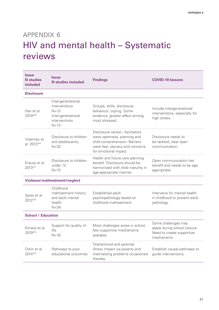# <span id="page-46-0"></span>appendix 6 HIV and mental health – Systematic reviews

| <b>Issue</b><br><b>N</b> studies<br><b>included</b> | <b>Issue</b><br><b>N</b> studies included                                                           | <b>Findings</b>                                                                                                                                              | <b>COVID-19 lessons</b>                                                                         |
|-----------------------------------------------------|-----------------------------------------------------------------------------------------------------|--------------------------------------------------------------------------------------------------------------------------------------------------------------|-------------------------------------------------------------------------------------------------|
| <b>Disclosure</b>                                   |                                                                                                     |                                                                                                                                                              |                                                                                                 |
| Han et al.<br>2019239                               | Inter-generational<br>interventions<br>$N = 1.3$<br>Inter-generational<br>interventions<br>$N = 13$ | Groups, skills, disclosure,<br>behaviour, coping. Some<br>evidence, greater effect among<br>most stressed.                                                   | Include intergenerational<br>interventions, especially for<br>high stress.                      |
| Vreeman et<br>al. 2013 <sup>240</sup>               | Disclosure to children<br>and adolescents,<br>$N = 32$                                              | Disclosure varied - facilitators<br>were openness, planning and<br>child comprehension. Barriers<br>were fear, secrecy and concerns<br>for emotional impact. | Disclosure needs to<br>be tackled, clear open<br>communication.                                 |
| Krauss et al.<br>2013241                            | Disclosure to children<br>under 12<br>$N = 15$                                                      | Health and future care planning<br>benefit. Disclosure should be<br>harmonized with child maturity in<br>age-appropriate manner.                             | Open communication has<br>benefit and needs to be age<br>appropriate.                           |
|                                                     | Violence/maltreatment/neglect                                                                       |                                                                                                                                                              |                                                                                                 |
| Spies et al.<br>2012242                             | Childhood<br>maltreatment history<br>and adult mental<br>health<br>$N = 34$                         | Established adult<br>psychopathology based on<br>childhood maltreatment.                                                                                     | Intervene for mental health<br>in childhood to prevent adult<br>pathology.                      |
| <b>School / Education</b>                           |                                                                                                     |                                                                                                                                                              |                                                                                                 |
| Kimera et al.<br>2019243                            | Support for quality of<br>life<br>$N = 16$                                                          | Most challenges arose in school,<br>few supportive mechanisms<br>available.                                                                                  | Some challenges may<br>abate during school closure.<br>Need to create supportive<br>mechanisms. |
| Orkin et al.<br>2014244                             | Pathways to poor<br>educational outcomes                                                            | Orphanhood and parental<br>illness impact via poverty and<br>internalizing problems occasioned<br>thereby.                                                   | Establish causal pathways to<br>guide interventions.                                            |
|                                                     |                                                                                                     |                                                                                                                                                              |                                                                                                 |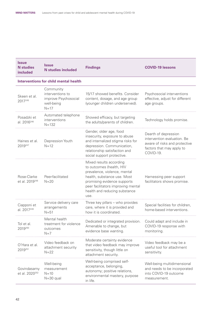| <b>Issue</b><br><b>N</b> studies<br>included | <b>Issue</b><br><b>N</b> studies included                                     | <b>Findings</b>                                                                                                                                                                                                                  | <b>COVID-19 lessons</b>                                                                                                        |
|----------------------------------------------|-------------------------------------------------------------------------------|----------------------------------------------------------------------------------------------------------------------------------------------------------------------------------------------------------------------------------|--------------------------------------------------------------------------------------------------------------------------------|
|                                              | <b>Interventions for child mental health</b>                                  |                                                                                                                                                                                                                                  |                                                                                                                                |
| Skeen et al.<br>2017245                      | Community<br>interventions to<br>improve Psychosocial<br>well-being<br>$N=17$ | 15/17 showed benefits. Consider<br>content, dosage, and age group<br>(younger children underserved).                                                                                                                             | Psychosocial interventions<br>effective, adjust for different<br>age groups.                                                   |
| Posadzki et<br>al. 2016 <sup>246</sup>       | Automated telephone<br>interventions<br>$N = 132$                             | Showed efficacy, but targeting<br>the adults/parents of children.                                                                                                                                                                | Technology holds promise.                                                                                                      |
| Haines et al.<br>2019247                     | Depression Youth<br>$N=12$                                                    | Gender, older age, food<br>insecurity, exposure to abuse<br>and internalized stigma risks for<br>depression. Communication,<br>relationship satisfaction and<br>social support protective.                                       | Dearth of depression<br>intervention evaluation. Be<br>aware of risks and protective<br>factors that may apply to<br>COVID-19. |
| Rose-Clarke<br>et al. 2019 <sup>248</sup>    | Peer-facilitated<br>$N = 20$                                                  | Mixed results according<br>to outcomes (health, HIV<br>prevalence, violence, mental<br>health, substance use. Most<br>promising evidence supports<br>peer facilitators improving mental<br>health and reducing substance<br>use. | Harnessing peer support<br>facilitators shows promise.                                                                         |
| Ciapponi et<br>al. 2017 <sup>249</sup>       | Service delivery care<br>arrangements<br>$N = 51$                             | Three key pillars - who provides<br>care, where it is provided and<br>how it is coordinated.                                                                                                                                     | Special facilities for children,<br>home-based interventions.                                                                  |
| Tol et al.<br>2019250                        | Mental health<br>treatment for violence<br>outcomes<br>$N=7$                  | Dedicated or integrated provision.<br>Amenable to change, but<br>evidence base wanting.                                                                                                                                          | Could adapt and include in<br>COVID-19 response with<br>monitoring.                                                            |
| O'Hara et al.<br>2019251                     | Video feedback on<br>attachment security<br>$N=22$                            | Moderate certainty evidence<br>that video feedback may improve<br>sensitivity, though little on<br>attachment security.                                                                                                          | Video feedback may be a<br>useful tool for attachment<br>sensitivity.                                                          |
| Govindasamy<br>et al. 2020 <sup>252</sup>    | Well-being<br>measurement<br>$N=10$<br>$N = 30$ qual                          | Well-being comprised self-<br>acceptance, belonging,<br>autonomy; positive relations,<br>environmental mastery, purpose<br>in life.                                                                                              | Well-being multidimensional<br>and needs to be incorporated<br>into COVID-19 outcome<br>measurement.                           |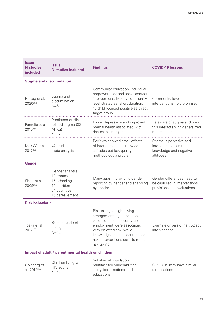| <b>Issue</b><br><b>N</b> studies<br><b>included</b> | Issue<br><b>N</b> studies included                                                                 | <b>Findings</b>                                                                                                                                                                                                                               | <b>COVID-19 lessons</b>                                                                     |
|-----------------------------------------------------|----------------------------------------------------------------------------------------------------|-----------------------------------------------------------------------------------------------------------------------------------------------------------------------------------------------------------------------------------------------|---------------------------------------------------------------------------------------------|
| <b>Stigma and discrimination</b>                    |                                                                                                    |                                                                                                                                                                                                                                               |                                                                                             |
| Hartog et al.<br>2020253                            | Stigma and<br>discrimination<br>$N = 61$                                                           | Community education, individual<br>empowerment and social contact<br>interventions. Mostly community-<br>level strategies, short duration.<br>10 child focused positive as direct<br>target group.                                            | Community-level<br>interventions hold promise.                                              |
| Pantelic et al.<br>2015254                          | Predictors of HIV<br>related stigma (SS<br>Africa)<br>$N = 17$                                     | Lower depression and improved<br>mental health associated with<br>decreases in stigma.                                                                                                                                                        | Be aware of stigma and how<br>this interacts with generalized<br>mental health.             |
| Mak W et al.<br>2017255                             | 42 studies<br>meta-analysis                                                                        | Reviews showed small effects<br>of interventions on knowledge,<br>attitudes but low-quality<br>methodology a problem.                                                                                                                         | Stigma is pervasive and<br>interventions can reduce<br>knowledge and negative<br>attitudes. |
| <b>Gender</b>                                       |                                                                                                    |                                                                                                                                                                                                                                               |                                                                                             |
| Sherr et al.<br>2009256                             | Gender analysis<br>12 treatment,<br>15 schooling<br>14 nutrition<br>54 cognitive<br>15 bereavement | Many gaps in providing gender,<br>reporting by gender and analysing<br>by gender.                                                                                                                                                             | Gender differences need to<br>be captured in interventions,<br>provisions and evaluations.  |
| <b>Risk behaviour</b>                               |                                                                                                    |                                                                                                                                                                                                                                               |                                                                                             |
| Toska et al.<br>2017257                             | Youth sexual risk<br>taking<br>$N=42$                                                              | Risk taking is high. Living<br>arrangements, gender-based<br>violence, food insecurity and<br>employment were associated<br>with elevated risk, while<br>knowledge and support reduced<br>risk. Interventions exist to reduce<br>risk taking. | Examine drivers of risk. Adapt<br>interventions.                                            |
| Impact of adult / parent mental health on children  |                                                                                                    |                                                                                                                                                                                                                                               |                                                                                             |
| Goldberg et<br>al. 2016 <sup>258</sup>              | Children living with<br>HIV adults<br>$N=47$                                                       | Substantial population,<br>multifaceted vulnerabilities<br>- physical emotional and<br>educational.                                                                                                                                           | COVID-19 may have similar<br>ramifications.                                                 |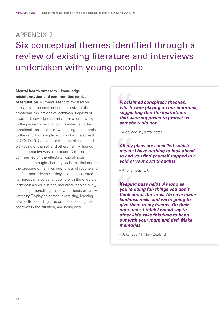# <span id="page-49-0"></span>appendix 7 Six conceptual themes identified through a review of existing literature and interviews undertaken with young people

**Mental health stressors – knowledge, misinformation and communities remiss** 

**of regulation.** Numerous reports focused on stressors in the environment, inclusive of the emotional implications of lockdown, impacts of a lack of knowledge and misinformation relating to the pandemic among communities, and the emotional implications of witnessing those remiss to the regulations in place to combat the spread of COVID-19. Concern for the mental health and well-being of the self and others (family, friends and community) was paramount. Children also commented on the effects of loss of social connection brought about by social restrictions, and the pressure on families due to loss of routine and confinement. However, they also demonstrated numerous strategies for coping with the effects of lockdown and/or distress, including keeping busy, spending time/talking online with friends or family, watching TV/playing games, exercising, learning new skills, spending time outdoors, seeing the positives in the situation, and being kind.

*Proclaimed conspiracy theories, which were playing on our emotions, suggesting that the institutions that were supposed to protect us somehow did not.*

– Aida, age 19, Kazakhstan

*All my plans are cancelled, which means I have nothing to look ahead to and you find yourself trapped in a void of your own thoughts*

– Anonymous, UK

*Keeping busy helps. As long as you're doing fun things you don't think about the virus. We have made kindness rocks and we're going to give them to my friends. On their doorsteps. I think I would say to other kids, take this time to hang out with your mum and dad. Make memories.*

– Jake, age 11, New Zealand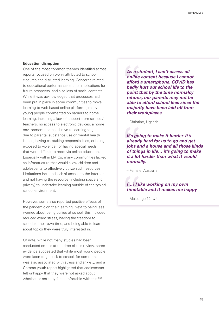#### **Education disruption**

One of the most common themes identified across reports focused on worry attributed to school closures and disrupted learning. Concerns related to educational performance and its implications for future prospects, and also loss of social contacts. While it was acknowledged that processes had been put in place in some communities to move learning to web-based online platforms, many young people commented on barriers to home learning, including a lack of support from schools/ teachers, no access to electronic devices, a home environment non-conducive to learning (e.g. due to parental substance use or mental health issues, having caretaking responsibilities, or being exposed to violence), or having special needs that were difficult to meet via online education. Especially within LMICs, many communities lacked an infrastructure that would allow children and adolescents to effectively utilize such resources. Limitations included lack of access to the internet and not having the resource (including space and privacy) to undertake learning outside of the typical school environment.

However, some also reported positive effects of the pandemic on their learning. Next to being less worried about being bullied at school, this included reduced exam stress, having the freedom to schedule their own time, and being able to learn about topics they were truly interested in.

Of note, while not many studies had been conducted on this at the time of this review, some evidence suggested that while most young people were keen to go back to school, for some, this was also associated with stress and anxiety, and a German youth report highlighted that adolescents felt unhappy that they were not asked about whether or not they felt comfortable with this.<sup>259</sup>

*As a student, I can't access all online content because I cannot afford a smartphone. COVID has badly hurt our school life to the point that by the time normalcy returns, our parents may not be able to afford school fees since the majority have been laid off from their workplaces.*

– Christine, Uganda

*It's going to make it harder. It's already hard for us to go and get jobs and a house and all those kinds of things in life… it's going to make it a lot harder than what it would normally.*

– Female, Australia

#### *(…) I like working on my own timetable and it makes me happy*

– Male, age 12, UK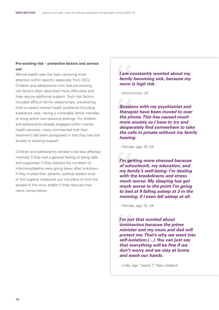#### **Pre-existing risk – protective factors and service use**

Mental health was the topic receiving most attention within reports, especially from HICs. Children and adolescents who had pre-existing risk factors often described more difficulties and may require additional support. Such risk factors included difficult family relationships, pre-existing child or parent mental health problems (including substance use), having a vulnerable family member, or living within low-resource settings. For children and adolescents already engaged within mental health services, many commented that their treatment had been postponed or that they had lost access to existing support.

Children and adolescents tended to be less affected mentally if they had a general feeling of being safe and supported, if they realized the numbers of infections/deaths were going down after lockdown, if they trusted their parents, political leaders and/ or the hygiene measures put into place to limit the spread of the virus, and/or if they reduced their news consumption.

*I am constantly worried about my family becoming sick, because my mom is high risk.*

– Anonymous, UK

*Sessions with my psychiatrist and therapist have been moved to over the phone. This has caused much more anxiety as I have to try and desperately find somewhere to take the calls in private without my family hearing.*

– Female, age 18, UK

*I'm getting more stressed because of schoolwork, my education, and my family's well-being. I'm dealing with the breakdowns and stress much worse. My sleeping has got much worse to the point I'm going to bed at 9 falling asleep at 3 in the morning, if I even fall asleep at all.*

– Female, age 15, UK

*I'm not that worried about coronavirus because the prime minister and my mum and dad will protect me. That's why we went into self-isolation.(…). You can just say that everything will be fine if we don't worry and we stay at home and wash our hands.*

– India, age "nearly 7", New Zealand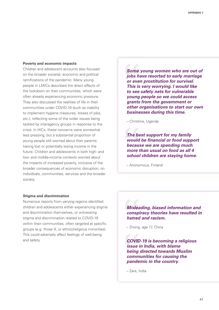#### **Poverty and economic impacts**

Children and adolescent accounts also focused on the broader societal, economic and political ramifications of the pandemic. Many young people in LMICs described the direct effects of the lockdown on their communities, which were often already experiencing economic pressure. They also discussed the realities of life in their communities under COVID-19 (such as inability to implement hygiene measures, losses of jobs, etc.), reflecting some of the wider issues being tackled by interagency groups in response to the crisis. In HICs, these concerns were somewhat less pressing, but a substantial proportion of young people still worried about their parents having lost or potentially losing income in the future. Children and adolescents in both high- and low- and middle-income contexts worried about the impacts of increased poverty, inclusive of the broader consequences of economic disruption, on individuals, communities, services and the broader society.

*Some young women who are out of jobs have resorted to early marriage or even prostitution for survival. This is very worrying. I would like to see safety nets for vulnerable young people so we could access grants from the government or other organisations to start our own businesses during this time.*

– Christine, Uganda

*The best support for my family would be financial or food support because we are spending much more than usual on food as all 4 school children are staying home.*

– Anonymous, Finland

#### **Stigma and discrimination**

Numerous reports from varying regions identified children and adolescents either experiencing stigma and discrimination themselves, or witnessing stigma and discrimination related to COVID-19 within their communities, often targeted at specific groups (e.g. those ill, or ethnic/religious minorities). This could adversely affect feelings of well-being and safety.

*Misleading, biased information and conspiracy theories have resulted in hatred and racism.*

– Zhong, age 17, China

*COVID-19 is becoming a religious issue in India, with blame being directed towards Muslim communities for causing the pandemic in the country.*

– Zara, India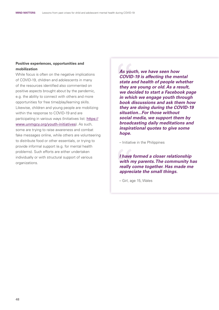#### **Positive experiences, opportunities and mobilization**

While focus is often on the negative implications of COVID-19, children and adolescents in many of the resources identified also commented on positive aspects brought about by the pandemic, e.g. the ability to connect with others and more opportunities for free time/play/learning skills. Likewise, children and young people are mobilizing within the response to COVID-19 and are participating in various ways (Initiatives list: [https://](https://www.unmgcy.org/youth-initiatives) [www.unmgcy.org/youth-initiatives](https://www.unmgcy.org/youth-initiatives)). As such, some are trying to raise awareness and combat fake messages online, while others are volunteering to distribute food or other essentials, or trying to provide informal support (e.g. for mental health problems). Such efforts are either undertaken individually or with structural support of various organizations.

*As youth, we have seen how COVID-19 is affecting the mental state and health of people whether they are young or old. As a result, we decided to start a Facebook page in which we engage youth through book discussions and ask them how they are doing during the COVID-19 situation...For those without social media, we support them by broadcasting daily meditations and inspirational quotes to give some hope.*

– Initiative in the Philippines

*I have formed a closer relationship with my parents. The community has really come together. Has made me appreciate the small things.*

– Girl, age 15, Wales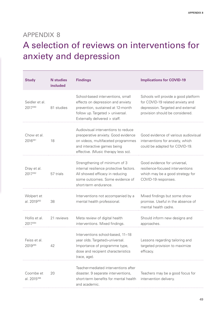## <span id="page-54-0"></span>appendix 8

# A selection of reviews on interventions for anxiety and depression

| <b>Study</b>                          | <b>N</b> studies<br>included | <b>Findings</b>                                                                                                                                                                        | <b>Implications for COVID-19</b>                                                                                                                 |
|---------------------------------------|------------------------------|----------------------------------------------------------------------------------------------------------------------------------------------------------------------------------------|--------------------------------------------------------------------------------------------------------------------------------------------------|
| Seidler et al.<br>2017260             | 81 studies                   | School-based interventions, small<br>effects on depression and anxiety<br>prevention, sustained at 12-month<br>follow up. Targeted > universal.<br>Externally delivered > staff.       | Schools will provide a good platform<br>for COVID-19 related anxiety and<br>depression. Targeted and external<br>provision should be considered. |
| Chow et al.<br>2016261                | 18                           | Audiovisual interventions to reduce<br>preoperative anxiety. Good evidence<br>on videos, multifaceted programmes<br>and interactive games being<br>effective. (Music therapy less so). | Good evidence of various audiovisual<br>interventions for anxiety, which<br>could be adapted for COVID-19.                                       |
| Dray et al.<br>2017262                | 57 trials                    | Strengthening of minimum of 3<br>internal resilience protective factors.<br>All showed efficacy in reducing<br>some outcomes. Some evidence of<br>short-term endurance.                | Good evidence for universal,<br>resilience-focused interventions<br>which may be a good strategy for<br>COVID-19 responses.                      |
| Wolpert et<br>al. 2019 <sup>263</sup> | 38                           | Interventions not accompanied by a<br>mental health professional.                                                                                                                      | Mixed findings but some show<br>promise. Useful in the absence of<br>mental health cadre.                                                        |
| Hollis et al.<br>2017264              | 21 reviews                   | Meta review of digital health<br>interventions. Mixed findings.                                                                                                                        | Should inform new designs and<br>approaches.                                                                                                     |
| Feiss et al.<br>2019265               | 42                           | Interventions school-based, 11-18<br>year olds. Targeted>universal.<br>Importance of programme type,<br>dose and recipient characteristics<br>(race, age).                             | Lessons regarding tailoring and<br>targeted provision to maximize<br>efficacy.                                                                   |
| Coombe et<br>al. 2015 <sup>266</sup>  | 20                           | Teacher-mediated interventions after<br>disaster. 9 separate interventions,<br>short-term benefits for mental health<br>and academic.                                                  | Teachers may be a good focus for<br>intervention delivery.                                                                                       |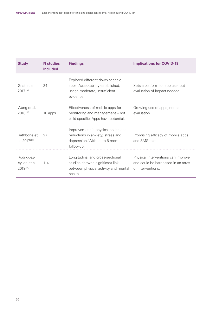| <b>Study</b>                           | <b>N</b> studies<br>included | <b>Findings</b>                                                                                                         | <b>Implications for COVID-19</b>                                                              |
|----------------------------------------|------------------------------|-------------------------------------------------------------------------------------------------------------------------|-----------------------------------------------------------------------------------------------|
| Grist et al.<br>2017267                | 24                           | Explored different downloadable<br>apps. Acceptability established,<br>usage moderate, insufficient<br>evidence.        | Sets a platform for app use, but<br>evaluation of impact needed.                              |
| Wang et al.<br>2018268                 | 16 apps                      | Effectiveness of mobile apps for<br>monitoring and management – not<br>child specific. Apps have potential.             | Growing use of apps, needs<br>evaluation.                                                     |
| Rathbone et<br>al. 2017269             | 27                           | Improvement in physical health and<br>reductions in anxiety, stress and<br>depression. With up to 6-month<br>follow-up. | Promising efficacy of mobile apps<br>and SMS texts.                                           |
| Rodriguez-<br>Ayllon et al.<br>2019270 | 114                          | Longitudinal and cross-sectional<br>studies showed significant link<br>between physical activity and mental<br>health.  | Physical interventions can improve<br>and could be harnessed in an array<br>of interventions. |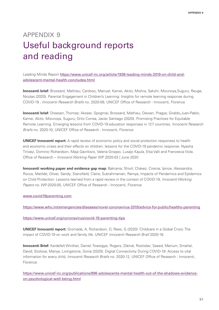# <span id="page-56-0"></span>appendix 9 Useful background reports and reading

Leading Minds Report [https://www.unicef-irc.org/article/1938-leading-minds-2019-on-child-and](https://www.unicef-irc.org/article/1938-leading-minds-2019-on-child-and-adolescent-mental-health-concludes.html)[adolescent-mental-health-concludes.html](https://www.unicef-irc.org/article/1938-leading-minds-2019-on-child-and-adolescent-mental-health-concludes.html)

**Innocenti brief:** Brossard, Mathieu; Cardoso, Manuel; Kamei, Akito; Mishra, Sakshi; Mizunoya,Suguru; Reuge, Nicolas (2020). Parental Engagement in Children's Learning: Insights for remote learning response during COVID-19 , *Innocenti Research Briefs* no. 2020-09, UNICEF Office of Research - Innocenti, Florence

**Innocenti brief:** Dreesen, Thomas; Akseer, Spogmai; Brossard, Mathieu; Dewan, Pragya; Giraldo,Juan-Pablo; Kamei, Akito; Mizunoya, Suguru; Ortiz Correa, Javier Santiago (2020). Promising Practices for Equitable Remote Learning. Emerging lessons from COVID-19 education responses in 127 countries, *Innocenti Research Briefs* no. 2020-10, UNICEF Office of Research - Innocenti, Florence

**UNICEF Innocenti report:** A rapid review of economic policy and social protection responses to health and economic crises and their effects on children: lessons for the COVID-19 pandemic response. Nyasha Tirivayi, Dominic Richardson, Maja Gavrilovic, Valeria Groppo, Lusajo Kajula, Elsa Valli and Francesca Viola. Office of Research – *Innocenti Working Paper* WP 2020-02 | June 2020

**Innocenti working paper and evidence gap map:** Bakrania, Shivit; Chávez, Cirenia; Ipince, Alessandra; Rocca, Matilde; Oliver, Sandy; Stansfield, Claire; Subrahmanian, Ramya, Impacts of Pandemics and Epidemics on Child Protection: Lessons learned from a rapid review in the context of COVID-19, *Innocenti Working Papers* no. WP-2020-05, UNICEF Office of Research - Innocenti, Florence

[www.covid19parenting.com](http://www.covid19parenting.com)

<https://www.who.int/emergencies/diseases/novel-coronavirus-2019/advice-for-public/healthy-parenting>

<https://www.unicef.org/coronavirus/covid-19-parenting-tips>

**UNICEF Innocenti report:** Gromada, A, Richardson, D, Rees, G (2020) 'Childcare in a Global Crisis: The impact of COVID-19 on work and family life. UNICEF *Innocenti Research Brief* 2020-18.

**Innocenti Brief:** Kardefelt Winther, Daniel; Twesigye, Rogers; Zlámal, Rostislav; Saeed, Marium; Smahel, David; Stoilova, Mariya; Livingstone, Sonia (2020). Digital Connectivity During COVID-19: Access to vital information for every child, *Innocenti Research Briefs* no. 2020-12, UNICEF Office of Research - Innocenti, Florence

[https://www.unicef-irc.org/publications/896-adolescents-mental-health-out-of-the-shadows-evidence](https://www.unicef-irc.org/publications/896-adolescents-mental-health-out-of-the-shadows-evidence-on-psychological-well-being.html)[on-psychological-well-being.html](https://www.unicef-irc.org/publications/896-adolescents-mental-health-out-of-the-shadows-evidence-on-psychological-well-being.html)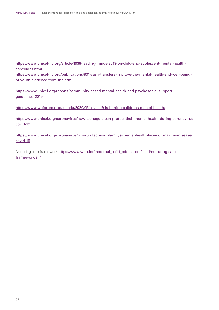[https://www.unicef-irc.org/article/1938-leading-minds-2019-on-child-and-adolescent-mental-health](https://www.unicef-irc.org/article/1938-leading-minds-2019-on-child-and-adolescent-mental-health-concludes.html)[concludes.html](https://www.unicef-irc.org/article/1938-leading-minds-2019-on-child-and-adolescent-mental-health-concludes.html) [https://www.unicef-irc.org/publications/801-cash-transfers-improve-the-mental-health-and-well-being](https://www.unicef-irc.org/publications/801-cash-transfers-improve-the-mental-health-and-well-being-of-youth-evidence-from-the.html)[of-youth-evidence-from-the.html](https://www.unicef-irc.org/publications/801-cash-transfers-improve-the-mental-health-and-well-being-of-youth-evidence-from-the.html)

[https://www.unicef.org/reports/community-based-mental-health-and-psychosocial-support](https://www.unicef.org/reports/community-based-mental-health-and-psychosocial-support-guidelines-2019)[guidelines-2019](https://www.unicef.org/reports/community-based-mental-health-and-psychosocial-support-guidelines-2019)

<https://www.weforum.org/agenda/2020/05/covid-19-is-hurting-childrens-mental-health/>

[https://www.unicef.org/coronavirus/how-teenagers-can-protect-their-mental-health-during-coronavirus](https://www.unicef.org/coronavirus/how-teenagers-can-protect-their-mental-health-during-coronavirus-covid-19)[covid-19](https://www.unicef.org/coronavirus/how-teenagers-can-protect-their-mental-health-during-coronavirus-covid-19)

[https://www.unicef.org/coronavirus/how-protect-your-familys-mental-health-face-coronavirus-disease](https://www.unicef.org/coronavirus/how-protect-your-familys-mental-health-face-coronavirus-disease-covid-19)[covid-19](https://www.unicef.org/coronavirus/how-protect-your-familys-mental-health-face-coronavirus-disease-covid-19)

Nurturing care framework [https://www.who.int/maternal\\_child\\_adolescent/child/nurturing-care](https://www.who.int/maternal_child_adolescent/child/nurturing-care-framework/en/)[framework/en/](https://www.who.int/maternal_child_adolescent/child/nurturing-care-framework/en/)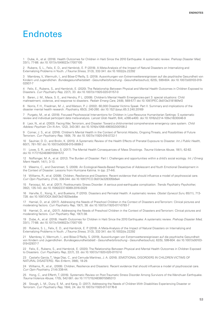## <span id="page-58-0"></span>**Endnotes**

1 Dube, A., et al. (2018). Health Outcomes for Children in Haiti Since the 2010 Earthquake: A systematic review. *Prehosp Disaster Med,*  33(1), 77-88. doi:10.1017/s1049023x17007105

2 Rubens, S. L., Felix, E. D., and Hambrick, E. P. (2018). A Meta-Analysis of the Impact of Natural Disasters on Internalizing and Externalizing Problems in Youth. *J Trauma Stress,* 31(3), 332-341. doi:10.1002/jts.22292

3 Mambrey, V., Wermuth, I., and Böse-O'Reilly, S. (2019). Auswirkungen von Extremwetterereignissen auf die psychische Gesundheit von Kindern und Jugendlichen. *Bundesgesundheitsblatt - Gesundheitsforschung - Gesundheitsschutz,* 62(5), 599-604. doi:10.1007/s00103-019- 02937-7

4 Felix, E., Rubens, S., and Hambrick, E. (2020). The Relationship Between Physical and Mental Health Outcomes in Children Exposed to Disasters. *Curr Psychiatry Rep,* 22(7), 33. doi:10.1007/s11920-020-01157-0

5 Baren, J. M., Mace, S. E., and Hendry, P. L. (2008). Children's Mental Health Emergencies-part 3: special situations: Child maltreatment, violence, and response to disasters. *Pediatr Emerg Care,* 24(8), 569-577. doi:10.1097/PEC.0b013e318180fef2

6 Norris, F. H., Friedman, M. J., and Watson, P. J. (2002). 60,000 Disaster Victims Speak: Part II. Summary and implications of the disaster mental health research. *Psychiatry,* 65(3), 240-260. doi:10.1521/psyc.65.3.240.20169

7 Purgato, M., et al. (2018). Focused Psychosocial Interventions for Children in Low-Resource Humanitarian Settings: S systematic review and individual participant data meta-analysis. *Lancet Glob Health,* 6(4), e390-e400. doi:10.1016/s2214-109x(18)30046-9

8 Laor, N., et al. (2003). Facing War, Terrorism, and Disaster: Toward a child-oriented comprehensive emergency care system. *Child Adolesc Psychiatr Clin N Am,* 12(2), 343-361. doi:10.1016/s1056-4993(02)00106-2

9 Comer, J. S., et al. (2016). Children's Mental Health in the Context of Terrorist Attacks, Ongoing Threats, and Possibilities of Future Terrorism. *Curr Psychiatry Rep,* 18(9), 79. doi:10.1007/s11920-016-0722-1

10 Saulnier, D. D., and Brolin, K. (2015). A Systematic Review of the Health Effects of Prenatal Exposure to Disaster. *Int J Public Health,* 60(7), 781-787. doi:10.1007/s00038-015-0699-2

11 Lowe, S. R., and Galea, S. (2017). The Mental Health Consequences of Mass Shootings. *Trauma Violence Abuse,* 18(1), 62-82. doi:10.1177/1524838015591572

12 Noffsinger, M. A., et al. (2012). The Burden of Disaster: Part I. Challenges and opportunities within a child's social ecology. *Int J Emerg Ment Health,* 14(1), 3-13.

13 Weems, C., and Overstreet, S. (2009). An Ecological-Needs-Based Perspective of Adolescent and Youth Emotional Development in the Context of Disaster: Lessons from Hurricane Katrina. In (pp. 27-44).

14 Williams, R., et al. (2008). Children, Resilience and Disasters: Recent evidence that should influence a model of psychosocial care. *Curr Opin Psychiatry,* 21(4), 338-344. doi:10.1097/YCO.0b013e328305b6e4

15 Farooqui, M., et al. (2017). Posttraumatic Stress Disorder: A serious post-earthquake complication. *Trends Psychiatry Psychother,*  39(2), 135-143. doi:10.1590/2237-6089-2016-0029

16 Harville, E., Xiong, X., and Buekens, P. (2010). Disasters and Perinatal Health: A systematic review. *Obstet Gynecol Surv,* 65(11), 713- 728. doi:10.1097/OGX.0b013e31820eddbe

17 Hamiel, D., et al. (2017). Addressing the Needs of Preschool Children in the Context of Disasters and Terrorism: Clinical pictures and moderating factors. *Curr Psychiatry Rep,* 19(7), 38. doi:10.1007/s11920-017-0793-7

18 Hamiel, D., et al., (2017). Addressing the Needs of Preschool Children in the Context of Disasters and Terrorism: Clinical pictures and moderating factors. *Curr Psychiatry Rep,* 19(7):38.

19 Dube, A., et al. (2018). Health Outcomes for Children in Haiti Since the 2010 Earthquake: A systematic review. *Prehosp Disaster Med,* 33(1), 77-88. doi:10.1017/s1049023x17007105

20 Rubens, S. L., Felix, E. D., and Hambrick, E. P. (2018). A Meta-Analysis of the Impact of Natural Disasters on Internalizing and Externalizing Problems in Youth. *J Trauma Stress,* 31(3), 332-341. doi:10.1002/jts.22292

21 Mambrey, V., Wermuth, I., and Böse-O'Reilly, S. (2019). Auswirkungen von Extremwetterereignissen auf die psychische Gesundheit von Kindern und Jugendlichen. *Bundesgesundheitsblatt - Gesundheitsforschung - Gesundheitsschutz,* 62(5), 599-604. doi:10.1007/s00103- 019-02937-7

22 Felix, E., Rubens, S., and Hambrick, E. (2020). The Relationship Between Physical and Mental Health Outcomes in Children Exposed to Disasters. *Curr Psychiatry Rep,* 22(7), 33. doi:10.1007/s11920-020-01157-0

23 Castaño García, T., Vega Díaz, C., and Cernuda Martínez, J. A. (2016). [EMOTIONAL DISORDERS IN CHILDREN VICTIMS OF NATURAL DISASTERS]. *Rev Enferm,* 39(6), 18-29.

24 Williams, R., et al., (2008). Children, Resilience and Disasters: Recent evidence that should influence a model of psychosocial care. *Curr Opin Psychiatry,* 21(4):338-44.

25 Hong, C., and Efferth, T. (2016). Systematic Review on Post-Traumatic Stress Disorder Among Survivors of the Wenchuan Earthquake. *Trauma Violence Abuse,* 17(5), 542-561. doi:10.1177/1524838015585313

26 Stough, L. M., Ducy, E. M., and Kang, D. (2017). Addressing the Needs of Children With Disabilities Experiencing Disaster or Terrorism. *Curr Psychiatry Rep,* 19(4), 24. doi:10.1007/s11920-017-0776-8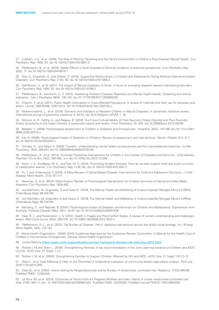27 Cobham, V. E., et al. (2016). The Role of Parents, Parenting and the Family Environment in Children's Post-Disaster Mental Health. *Curr Psychiatry Rep,* 18(6), 53. doi:10.1007/s11920-016-0691-4

28 Pfefferbaum, B., et al. (2018). Media Effects in Youth Exposed to Terrorist Incidents: A historical perspective. *Curr Psychiatry Rep,*  20(2), 11. doi:10.1007/s11920-018-0875-1

29 Aba, G., Knipprath, S., and Shahar, G. (2019). Supportive Relationships in Children and Adolescents Facing Political Violence and Mass Disasters. *Curr Psychiatry Rep,* 21(9), 83. doi:10.1007/s11920-019-1068-2

30 Self-Brown, S., et al. (2017). The Impact of Natural Disasters on Youth: A focus on emerging research beyond internalizing disorders. *Curr Psychiatry Rep,* 19(8), 53. doi:10.1007/s11920-017-0798-2

31 Pfefferbaum, B., and North, C. S. (2013). Assessing Children's Disaster Reactions and Mental Health Needs: Screening and clinical evaluation. *Can J Psychiatry,* 58(3), 135-142. doi:10.1177/070674371305800303

32 Checchi, F., et al. (2017). Public Health Information in Crisis-Affected Populations: A review of methods and their use for advocacy and action. *Lancet,* 390(10109), 2297-2313. doi:10.1016/s0140-6736(17)30702-x

33 Mohammadinia, L., et al. (2018). Domains and Indicators of Resilient Children in Natural Disasters: A systematic literature review. *International journal of preventive medicine,* 9, 54-54. doi:10.4103/ijpvm.IJPVM\_1\_18

34 Gilmoor, A. R., Adithy, A., and Regeer, B. (2019). The Cross-Cultural Validity of Post-Traumatic Stress Disorder and Post-Traumatic Stress Symptoms in the Indian Context: A systematic search and review. *Front Psychiatry,* 10, 439. doi:10.3389/fpsyt.2019.00439

35 Balaban, V. (2006). Psychological Assessment of Children in Disasters and Emergencies. *Disasters,* 30(2), 178-198. doi:10.1111/j.0361- 3666.2006.00314.x

36 Kar, N. (2009). Psychological Impact of Disasters on Children: Review of assessment and interventions. *World J Pediatr,* 5(1), 5-11. doi:10.1007/s12519-009-0001-x

37 Ghodse, H., and Galea, S. (2006). Tsunami: Understanding mental health consequences and the unprecedented response. *Int Rev Psychiatry,* 18(3), 289-297. doi:10.1080/09540260600709149

38 Pfefferbaum, B., et al. (2014). Universal Preventive Interventions for Children in the Context of Disasters and Terrorism. *Child Adolesc Psychiatr Clin N Am,* 23(2), 363-382, ix-x. doi:10.1016/j.chc.2013.12.006

39 Taylor, L. K., Goldberg, M. G., and Tran, M. D. (2019). Promoting Student Success: How do we best support child and youth survivors of catastrophic events? *Curr Psychiatry Rep,* 21(9), 82. doi:10.1007/s11920-019-1067-3

40 Fu, C and Underwood, C.(2015). A Meta-Review of School-Based Disaster Interventions for Child and Adolescent Survivors. *J Child Adolesc Ment Health.* 27(3):161-171.

41 Newman, E, et al. (2014). Meta-Analytic Review of Psychological Interventions for Children Survivors of Natural and Man-Made disasters. *Curr Psychiatry Rep.* 16(9):462.

42 von Werthern, M, Grigorakis, G and Vizard E. (2019). The Mental Health and Wellbeing of Unaccompanied Refugee Minors (URMs) *Child Abuse Negl.* 98:104146.

43 von Werthern, M, Grigorakis G and Vizard, E. (2019). The Mental Health and Wellbeing of Unaccompanied Refugee Minors (URMs) *Child Abuse Negl.* 98:104146

44 Wooding, S., and Raphael, B. (2004). Psychological Impact of Disasters and Terrorism on Children and Adolescents: Experiences from Australia. *Prehosp Disaster Med,* 19(1), 10-20. doi:10.1017/s1049023x00001436

45 Haar, R. J., and Rubenstein, L. S. (2012). Health in Fragile and Post-Conflict States: A review of current understanding and challenges ahead. *Med Confl Surviv,* 28(4), 289-316. doi:10.1080/13623699.2012.743311

46 Pfefferbaum, R. L., et al. (2012). The Burden of Disaster: Part II. Applying interventions across the child's social ecology. *Int J Emerg Ment Health,* 14(3), 175-187.

47 World Health Organization. (2008). WHO Guidelines Approved by the Guidelines Review Committee. In Manual for the Health Care of Children in Humanitarian Emergencies. Geneva: World Health Organization

48 United Nations <https://www.undrr.org/publication/sendai-framework-disaster-risk-reduction-2015-2030>

49 Richter L M and Sherr L. (2009). Strengthening Families: A key recommendation of the Joint Learning Initiative on Children and AIDS (JLICA). *AIDS Care.* 21 Suppl 1:1-2.

50 Richter L M, et al. (2009). Strengthening Families to Support Children Affected by HIV and AIDS. *AIDS Care.* 21 Suppl 1(S1):3-12.

51 Sherr L, et al. How Effective is Help on the Doorstep? A longitudinal evaluation of community-based organisation support. PloS one. 2016;11(3):e0151305

52 Olds DL, et al. (2002). Home Visiting by Paraprofessionals and by Nurses: A randomized, controlled trial. *Pediatrics.* 110(3):486-96. PubMed PMID: 12205249.

53 Le Roux IM, et al. (2013). Outcomes of Home Visits for Pregnant Mothers and their Infants: A cluster randomized controlled trial. *Aids.* 27(9):1461-71. doi: 10.1097/QAD.0b013e3283601b53. PubMed PMID: 23435303; PubMed Central PMCID: PMC3904359.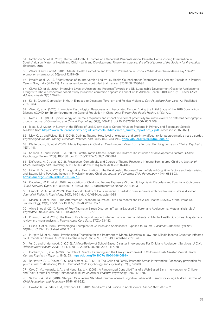54 Tomlinson M, et al. (2016). Thirty-Six-Month Outcomes of a Generalist Paraprofessional Perinatal Home Visiting Intervention in South Africa on Maternal Health and Child Health and Development. *Prevention science: the official journal of the Society for Prevention Research.* 2016

55 Weare K and Nind M. (2011). Mental Health Promotion and Problem Prevention in Schools: What does the evidence say? *Health promotion international.* 26(suppl 1):i29-i69.

56 Patel V, et al. (2010). Effectiveness of an Intervention Led by Lay Health Counsellors for Depressive and Anxiety Disorders in Primary Care in Goa, India (MANAS): A cluster randomised controlled trial. *Lancet.* 376(9758):2086-95

57 Cluver LD, et al. (2019). Improving Lives by Accelerating Progress Towards the UN Sustainable Development Goals for Adolescents Living with HIV: A prospective cohort study [published correction appears in Lancet Child Adolesc Health. 2019 Jun 12;:]. *Lancet Child Adolesc Health.* 3(4):245-254.

58 Kar N. (2019). Depression in Youth Exposed to Disasters, Terrorism and Political Violence. *Curr Psychiatry Rep.* 21(8):73. Published 2019 Jul 4.

59 Wang C, et al. (2020). Immediate Psychological Responses and Associated Factors During the Initial Stage of the 2019 Coronavirus Disease (COVID-19) Epidemic Among the General Population in China. *Int J Environ Res Public Health.* 17(5):1729.

60 Norris, F. H. (1992). Epidemiology of Trauma: Frequency and impact of different potentially traumatic events on different demographic groups. *Journal of Consulting and Clinical Psychology,* 60(3), 409-418. doi:10.1037//0022-006x.60.3.409

61 Iqbal, S. J. (2020). A Survey of the Effects of Lock-Down due to Corona-Virus on Students in Primary and Secondary Schools. Available from [https://www.childrenssociety.org.uk/sites/default/files/sarah\\_survey\\_report.pdf\\_2.pdf](https://www.childrenssociety.org.uk/sites/default/files/sarah_survey_report.pdf_2.pdf) [Accessed 28.07.2020]

62 May, C. L., and Wisco, B. E. (2016). Defining Trauma: How level of exposure and proximity affect risk for posttraumatic stress disorder. *Psychological Trauma: Theory, Research, Practice, and Policy,* 8(2), 233–240. <https://doi.org/10.1037/tra0000077>

63 Pfefferbaum, B., et al. (2003). Media Exposure in Children One Hundred Miles From a Terrorist Bombing. *Annals of Clinical Psychiatry,*  15(1), 1-8.

64 Salmon, K., and Bryant, R. A. (2002). Posttraumatic Stress Disorder in Children: The influence of developmental factors. *Clinical Psychology Review,* 22(2), 163-188. doi:10.1016/S0272-7358(01)00086-1

65 De Young, A. C., et al. (2012). Prevalence, Comorbidity and Course of Trauma Reactions in Young Burn-Injured Children. J*ournal of Child Psychology and Psychiatry,* 53(1), 56-63. doi:10.1111/j.1469-7610.2011.02431.x

66 Hiller, R. M., et al. (2019). A Longitudinal Examination of the Relationship Between Trauma-Related Cognitive Factors and Internalising and Externalising Psychopathology in Physically Injured Children. *Journal of Abnormal Child Psychology,* 47(4), 683-693. <https://doi.org/10.1007/s10802-018-0477-8>

67 Copeland, W. E., et al. (2018). Association of Childhood Trauma Exposure With Adult Psychiatric Disorders and Functional Outcomes. *JAMA Network Open,* 1(7), e184493-e184493. doi:10.1001/jamanetworkopen.2018.4493

68 Landolt, M. A., et al. (2009). Brief Report: Quality of life is impaired in pediatric burn survivors with posttraumatic stress disorder. *Journal of Pediatric Psychology,* 34(1), 14-21. doi:10.1093/jpepsy/jsm088

69 Maschi, T., et al. (2013). The Aftermath of Childhood Trauma on Late Life Mental and Physical Health: A review of the literature. *Traumatology,* 19(1), 49-64. doi:10.1177/1534765612437377

70 Alisic E, et al. (2014). Rates of Post-Traumatic Stress Disorder in Trauma-Exposed Children and Adolescents: Meta-analysis. *Br J Psychiatry.* 204:335-340. doi:10.1192/bjp.bp.113.131227

71 Pham CH, et al. (2019). The Role of Psychological Support Interventions in Trauma Patients on Mental Health Outcomes: A systematic review and meta-analysis. *J Trauma Acute Care Surg.* 87(2):463-482.

72 Gillies D, et al. (2016). Psychological Therapies for Children and Adolescents Exposed to Trauma. *Cochrane Database Syst Rev.*  10(10):CD012371. Published 2016 Oct 11.

73 Purgato M, et al. (2018). Psychological Therapies for the Treatment of Mental Disorders in Low- and Middle-Income Countries Affected by Humanitarian Crises. *Cochrane Database Syst Rev.* 7(7):CD011849. Published 2018 Jul 5.

74 Fu, C., and Underwood, C. (2015). A Meta-Review of School-Based Disaster Interventions For Child and Adolescent Survivors. *J Child Adolesc Ment Health,* 27(3), 161-171. doi:10.2989/17280583.2015.1117978

75 Cobham, V. E., et al. (2016). The Role of Parents, Parenting and the Family Environment in Children's Post-Disaster Mental Health. *Current Psychiatry Reports,* 18(6), 53. <https://doi.org/10.1007/s11920-016-0691-4>

76 Berkowitz, S. J., Stover, C. S., and Marans, S. R. (2011). The Child and Family Traumatic Stress Intervention: Secondary prevention for youth at risk of developing PTSD. *Journal of Child Psychology and Psychiatry,* 52(6), 676-685.

77 Cox, C. M., Kenardy, J. A., and Hendrikz, J. K. (2009). A Randomized Controlled Trial of a Web-Based Early Intervention for Children and Their Parents Following Unintentional Injury. *Journal of Pediatric Psychology,* 35(6), 581-592.

78 Salloum, A., et al. (2016). Stepped Care Versus Standard Trauma-Focused Cognitive Behavioral Therapy for Young Children. *Journal of Child Psychology and Psychiatry,* 57(5), 614-622.

79 Hawton K, Saunders KEA, O'Connor RC. (2012). Self-Harm and Suicide in Adolescents. *Lancet,* 379: 2373–82.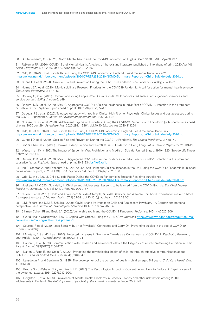80 B. Pfefferbaum, C.S. (2020). North Mental health and the Covid-19 Pandemic. *N. Engl. J. Med.* 10.1056/NEJMp2008017

81 Rajkumar RP. (2020). COVID-19 and Mental Health: A review of the existing literature [published online ahead of print, 2020 Apr 10]. *Asian J Psychiatr.* 52:102066. doi:10.1016/j.ajp.2020.102066

82 Odd, D. (2020). Child Suicide Rates During the COVID-19 Pandemic in England: Real-time surveillance July 2020 <https://www.ncmd.info/wp-content/uploads/2020/07/REF253-2020-NCMD-Summary-Report-on-Child-Suicide-July-2020.pdf>

83 Gunnell D, et al. (2020). Suicide Risk and Prevention During the COVID-19 Pandemic. *The Lancet Psychiatry,* 7: 468–71.

84 Holmes EA, et al. (2020). Multidisciplinary Research Priorities for the COVID19 Pandemic: A call for action for mental health science. *The Lancet Psychiatry,* 7: 547– 60

85 Rodway C, et al. (2020). Children and Young People Who Die by Suicide: Childhood-related antecedents, gender differences and service contact. *BJPsych open* 6: e49.

86 Dsouza, D.D., et al., (2020, May 3). Aggregated COVID-19 Suicide Incidences in India: Fear of COVID-19 infection is the prominent causative factor. *PsyArXiv,* Epub ahead of print. 10.31234/osf.io/7xa4b

87 DeLuca, J S., et al. (2020). Telepsychotherapy with Youth at Clinical High Risk for Psychosis: Clinical issues and best practices during the COVID-19 pandemic. *Journal of Psychotherapy Integration,* 30(2):304-331.

88 Guessoum SB, et al. (2020). Adolescent Psychiatric Disorders During the COVID-19 Pandemic and Lockdown [published online ahead of print, 2020 Jun 29]. *Psychiatry Res.* 2020;291:113264. doi:10.1016/j.psychres.2020.113264

89 Odd, D., et al. (2020). Child Suicide Rates During the COVID-19 Pandemic in England: Real-time surveillance July <https://www.ncmd.info/wp-content/uploads/2020/07/REF253-2020-NCMD-Summary-Report-on-Child-Suicide-July-2020.pdf>

90 Gunnell D, et al. (2020). Suicide Risk and Prevention During the COVID-19 Pandemic. *The Lancet Psychiatry;* 7: 468–71.

91 S.M.S. Chan, et al. (2006). Conwell .Elderly Suicide and the 2003 SARS Epidemic in Hong Kong. *Int. J. Geriatr. Psychiatry,* 21:113-118.

92 Wasserman IM. (1992). The Impact of Epidemic, War, Prohibition and Media on Suicide: United States, 1910–1920. Suicide Life Threat Behav 22:240–54.

93 Dsouza, D.D., et al., (2020, May 3). Aggregated COVID-19 Suicide Incidences in India: Fear of COVID-19 infection is the prominent causative factor. PsyArXiv, Epub ahead of print. 10.31234/[osf.io/7xa4b](http://osf.io/7xa4b)

94 Iob E, Steptoe A, and Fancourt D. (2020). Abuse, Self-Harm and Suicidal Ideation in the UK During the COVID-19 Pandemic [published online ahead of print, 2020 Jul 13]. *Br J Psychiatry.* 1-4. doi:10.1192/bjp.2020.130

95 Odd, D. et al. (2020). Child Suicide Rates During the COVID-19 Pandemic in England: Real-time surveillance <https://www.ncmd.info/wp-content/uploads/2020/07/REF253-2020-NCMD-Summary-Report-on-Child-Suicide-July-2020.pdf>

96 Hoekstra PJ. (2020). Suicidality in Children and Adolescents: Lessons to be learned from the COVID-19 crisis. *Eur Child Adolesc Psychiatry.* 29(6):737-738. doi:10.1007/s00787-020-0157

97 Cluver L, et al. (2015). Child and Adolescent Suicide Attempts, Suicidal Behavior, and Adverse Childhood Experiences in South Africa: A prospective study. *J Adolesc Health.* 57(1):52-59. doi:10.1016/j.jadohealth.2015.03.001

98 J.M. Fegert, and U.M.E. Schulze. (2020). Covid-19 and its Impact on Child and Adolescent Psychiatry - A German and personal perspective. *Irish Journal of Psychological Medicine* 10:1-8.1017/ipm.2020.43

99 Silliman Cohen RI and Bosk EA. (2020). Vulnerable Youth and the COVID-19 Pandemic. *Pediatrics.* 146(1): e20201306

100 World Health Organization. (2020). Coping with Stress During the 2019-nCoV Outbreak [https://www.who.int/docs/default-source/](https://www.who.int/docs/default-source/coronaviruse/coping-with-stress.pdf?ua=1) [coronaviruse/coping-with-stress.pdf?ua=1](https://www.who.int/docs/default-source/coronaviruse/coping-with-stress.pdf?ua=1)

101 Courtet, P. et al. (2020).Keep Socially (but Not Physically) Connected and Carry On: Preventing suicide in the age of COVID-19 *J. Clin. Psychiatry.,* 81

102 McIntyre, R.S and Y. Lee. (2020). Projected Increases in Suicide in Canada as a Consequence of COVID-19. *Psychiatry Research,* 290, Article 113104, 10.1016/j.psychres.2020.113104

103 Dalton L, et al. (2019). Communication with Children and Adolescents About the Diagnosis of a Life-Threatening Condition in Their Parent. *Lancet.* 393(10176):1164-1176.

104 Dalton L, Rapa E, and Stein A. (2020). Protecting the psychological health of children through effective communication about COVID-19. *Lancet Child Adolesc Health.* 4(5):346-347.

105 Lansdown R, and Benjamin G. (1985). The development of the concept of death in children aged 5-9 years. *Child Care Health Dev.*  11(1):13-20.

106 Brooks S.K., Webster R.K., and Smith L.E. (2020). The Psychological Impact of Quarantine and How to Reduce It: Rapid review of the evidence. *Lancet.* 395(10227):912–920.

107 Deighton J., et al. (2019). Prevalence of Mental Health Problems in Schools: Poverty and other risk factors among 28 000 adolescents in England. *The British journal of psychiatry: the journal of mental science.* 2019:1–3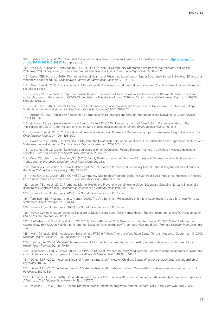108 Loades. ME et al. (2020). *Journal of the American Academy of Child an Adolescent Psychiatry* accessed at [https://jaacap.org/](https://jaacap.org/article/S0890-8567(20)30337-3/pdf) [article/S0890-8567\(20\)30337-3/pdf](https://jaacap.org/article/S0890-8567(20)30337-3/pdf) pre proof.

109 King C.A., Gipson P.Y., and Arango A. (2018). LET's CONNECT Community Mentorship Program for Youths With Peer Social Problems: Preliminary findings from a randomized effectiveness trial. *J Community Psychol.* 46(7):885–902.

110 Larsen TBU H., et al. (2019). Promoting Mental Health and Preventing Loneliness in Upper Secondary School in Norway: Effects of a randomized controlled trial. *Scandinavian Journal of Educational Research.* 2019:1–14.

111 Wang J, et al. (2017). Social Isolation in Mental Health: A conceptual and methodological review. *Soc Psychiatry Psychiatr Epidemiol.*  52(12):1451-1461.

112 Loades ME, et al. (2020). Rapid Systematic Review: The impact of social isolation and loneliness on the mental health of children and adolescents in the context of COVID-19 [published online ahead of print, 2020 Jun 3]. *J Am Acad Child Adolesc Psychiatry.* S0890- 8567(20)30337-3.

113 Liu H., et al. (2020). Gender Differences in the Influence of Social Isolation and Loneliness on Depressive Symptoms in College Students: A longitudinal study. *Soc Psychiatry Psychiatr Epidemiol.* 55(2):251–257.

114 Brechet C. (2017). Children's Recognition of Emotional Facial Expressions Through Photographs and Drawings. *J Genet Psychol.*  178(2):139-146.

115 Goldman PS, van Ijzendoorn MH, and Sonuga-Barke EJS. (2020). Lancet Institutional Care Reform Commission Group. The implications of COVID-19 for the care of children living in residential institutions. *Lancet Child Adolesc Health.* 4(6):e12

116 Qualter P., et al. (2010). Childhood Loneliness as a Predictor of Adolescent Depressive Symptoms: An 8-year longitudinal study. *Eur Child Adolesc Psychiatry.* 19(6):493–501.

117 Swami V, et al. (2007). General Health Mediates the Relationship Between Loneliness, Life Satisfaction and Depression. A study with Malaysian medical students. *Soc Psychiatry Psychiatr Epidemiol.* 42(2):161-166.

118 Lalayants MP, J.D (2015).. Loneliness and Depression or Depression-Related Factors Among Child Welfare-Involved Adolescent Females. *Child and Adolescent Social Work Journal* 32(2):167-176.

119 Wang YT, L;Guo,L; and Huebner,S.E. (2020). Family Dysfunction and Adolescents' Anxiety and Depression: A multiple mediation model. *Journal of Applied Developmental Psychology.* 2020;66.

120 Matthews T, et al. (2015). Social Isolation and Mental Health at Primary and Secondary School Entry: A longitudinal cohort study. *J Am Acad Child Adolesc Psychiatry.* 54(3):225-232.

121 King CA, et al. (2018). LET's CONNECT Community Mentorship Program for Youths With Peer Social Problems: Preliminary findings from a randomized effectiveness trial. *J Community Psychol.* 46(7):885-902.

122 Larsen TBU, et al. (2019). Promoting Mental Health and Preventing Loneliness in Upper Secondary School in Norway: Effects of a Randomized Controlled Trial. *Scandinavian Journal of Educational Research.* 2019:1-14.

123 Murray, L. and L. Andrews (2000). The Social Baby. Surrey: CP Publishing

124 Tomlinson, M., P. Cooper, and L. Murray (2005). The ,Mother-Infant Relationship and Infant Attachment in a South African Peri-Urban Settlement. *Child Dev,* 76(5): p. 1044-54

125 Murray, L. and L. Andrews. (2000) The Social Baby. Surrey: CP Publishing.

126 Hoven CW, et al. (2009). Parental Exposure to Mass Violence and Child Mental Health: The first responder and WTC evacuee study. *Clin Child Fam Psychol Rev.* 12(2):95-112

127 Pfefferbaum B, Simic Z, and North CS. (2018). Parent-Reported Child Reactions to the September 11, 2001 World Trade Center Attacks (New York USA) in Relation to Parent Post-Disaster Psychopathology Three Years After the Event. *Prehosp Disaster Med.* 33(5):558- 564.

128 Mann M, et al. (2015). Adolescent Behavior and PTSD 6-7 Years After the World Trade Center Terrorist Attacks of September 11, 2001. *Disaster Health.* 2(3-4):121-129. Published 2015 Feb 3.

129 Rahman, A. (2005). Maternal Depression and Child Health: The need for holistic health policies in developing countries. *Harvard Health Policy Review,* 6(2): p. 70-80.

130 Josefsson, A. and G. Sydsjö (2007). A Follow-Up Study of Postpartum Depressed Women: Recurrent maternal depressive symptoms and child behavior after four years. *Archives of Women's Mental Health,* 10(4): p. 141-145.

131 Oates, M.R. (2002). Adverse Effects of Maternal Antenatal Anxiety on Children: Causal effect or developmental continuum? *Br J Psychiatry,* 180:478-9.

132 Oates, M.R. (2002). Adverse Effects of Maternal AntenatalAnxiety on Children: Causal effect or developmental continuum? *Br J Psychiatry,* 180:478-9.

133 O'Connor, T.G., et al. (2002). Antenatal Anxiety Predicts Child Behavioral/Emotional Problems Independently of Postnatal Depression. *J Am Acad Child Adolesc Psychiatry,* 41(12): p. 1470-7.

134 Mulder, E.J., et al., (2002). Prenatal Maternal Stress: Effects on pregnancy and the (unborn) child. *Early Hum Dev,* 70(1-2):3-14.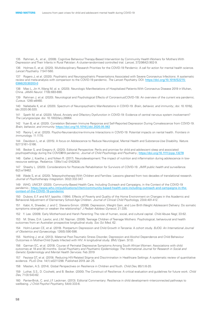135 Rahman, A., et al., (2008). Cognitive Behaviour Therapy-Based Intervention by Community Health Workers for Mothers With Depression and Their Infants in Rural Pakistan: A cluster-randomised controlled trial. *Lancet,* 372(9642):902-9.

136 Holmes E, et al. (2020). Multidisciplinary Research Priorities for the COVID-19 Pandemic: A call for action for mental health science. *Lancet Psychiatry.* 7:547-560.

137 Rogers J, et al. (2020). Psychiatric and Neuropsychiatric Presentations Associated with Severe Coronavirus Infections: A systematic review and meta-analysis with comparison to the COVID-19 pandemic. *The Lancet Psychiatry.* DOI: [https://doi.org/10.1016/S2215-](https://doi.org/10.1016/S2215-0366(20)30203-0) [0366\(20\)30203-0](https://doi.org/10.1016/S2215-0366(20)30203-0)

138 Mao L, Jin H, Wang M, al. e. (2020). Neurologic Manifestations of Hospitalized Patients With Coronavirus Disease 2019 in Wuhan, China. *JAMA Neurol.* 77(6):683-690.

139 Rahman J, et al. (2020). Neurological and Psychological Effects of Coronavirus(COVID-19): An overview of the current era pandemic. *Cureus.* 12(6):e8460.

140 Nalleballe K, et al. (2020). Spectrum of Neuropsychiatric Manifestations in COVID-19. *Brain, behavior, and immunity.*; doi: 10.1016/j. bbi.2020.06.020.

141 Speth M, et al. (2020). Mood, Anxiety and Olfactory Dysfunction in COVID-19: Evidence of central nervous system involvement? *The Laryngoscope.* doi: 10.1002/lary.28964.

142 Yuan B, et al. (2020). Correlation Between Immune Response and Self-Reported Depression During Convalescence from COVID-19. *Brain, behavior, and immunity.* <https://doi.org/10.1016/j.bbi.2020.05.062>

143 Raony Í, et al. (2020). Psycho-Neuroendocrine-Immune Interactions in COVID-19: Potential impacts on nental health. *Frontiers in immunology.* 11:1170.

144 Davidson L, et al. (2015). A focus on Adolescence to Reduce Neurological, Mental Health and Substance-Use Disability. *Nature.*  527:S161–S166.

145 Becker S, and Gregory A. (2020). Editorial Perspective: Perils and promise for child and adolescent sleep and associated psychopathology during the COVID‐19 pandemic. *Journal of Child Psychology and Psychiatry.*; <https://doi.org/10.1111/jcpp.13278>

146 Galler J, Koethe J, and Yolken R. (2017). Neurodevelopment: The impact of nutrition and inflammation during adolescence in lowresource settings. *Pediatrics.* 139(s1):e2 0162828.

147 Sheehy L. (2020). Considerations for Postacute Rehabilitation for Survivors of COVID-19. *JMIR public health and surveillance.*  6(2):e19462.

148 Wade S, et al. (2020). Telepsychotherapy With Children and Families: Lessons gleaned from two decades of translational research. *Journal of Psychotherapy Integration.* 30(2):332-347.

149 WHO, UNICEF. (2020). Community-Based Health Care, Including Outreach and Campaigns, in the Context of the COVID-19 pandemic.; [https://www.who.int/publications/i/item/community-based-health-care-including-outreach-and-campaigns-in-the](https://www.who.int/publications/i/item/community-based-health-care-including-outreach-and-campaigns-in-the-context-of-the-COVID-19-pandemic)[context-of-the-COVID-19-pandemic](https://www.who.int/publications/i/item/community-based-health-care-including-outreach-and-campaigns-in-the-context-of-the-COVID-19-pandemic)

150 Dubow, E.F. and M.F. Ippolito. (1994). Effects of Poverty and Quality of the Home Environment on Changes in the Academic and Behavioral Adjustment of Elementary School-Age Children. *Journal of Clinical Child Psychology,* 23(4):401-412.

151 Kabir, K, Sheeder, J. and C. Stevens-Simon. (2008). Depression, Weight Gain, and Low Birth Weight Adolescent Delivery: Do somatic symptoms strengthen or weaken the relationship? *J Pediatr Adolesc Gynecol,* 21:335.

152 Y. Lee. (2009). Early Motherhood and Harsh Parenting: The role of human, social, and cultural capital. *Child Abuse Negl,* 33:62.

153 M. Shaw, D.A. Lawlor, and J.M. Najman. (2006). Teenage Children of Teenage Mothers: Psychological, behavioural and health outcomes from an Australian prospective longitudinal study. *Soc Sci Med,* 62.

154 Holm-Larsen CE, et al. (2019). Postpartum Depression and Child Growth in Tanzania: A cohort study. *BJOG: An International Journal of Obstetrics and Gynaecology.* 126(5):590-598.

155 Nothling J, et al. (2013). Maternal Post-Traumatic Stress Disorder, Depression and Alcohol Dependence and Child Behaviour Outcomes in Mother-Child Dyads Infected with HIV: A longitudinal study. *BMJ Open.* 3(12).

156 Garman EC, et al. (2019). Course of Perinatal Depressive Symptoms Among South African Women: Associations with child outcomes at 18 and 36 months. *Social Psychiatry and Psychiatric Epidemiology: The International Journal for Research in Social and Genetic Epidemiology and Mental Health Services.* Feb 2019

157 Feyissa GT, et al. (2019). Reducing HIV-Related Stigma and Discrimination in Healthcare Settings: A systematic review of quantitative evidence. *PLoS One.* 14(1):e0211298. Published 2019 Jan 25.

158 Masten, A.S. (2014). Global Perspectives on Resilience in Children and Youth. *Child Dev,* 85(1):6-20.

159 Luthar, S.S., D. Cicchetti, and B. Becker. (2000). The Construct of Resilience: A critical evaluation and guidelines for future work. *Child Dev,* 71(3):543-62.

160 Panter-Brick, C. and J.F. Leckman. (2013). Editorial Commentary: Resilience in child development--interconnected pathways to wellbeing. *J Child Psychol Psychiatry,* 54(4):333-6.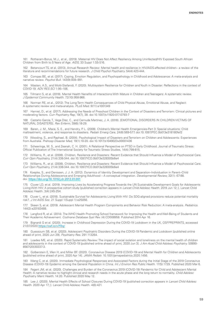161 Rotheram-Borus, M.J., et al., (2019). Maternal HIV Does Not Affect Resiliency Among Uninfected/HIV Exposed South African Children from Birth to 5 Years of Age. *AIDS,* 33 Suppl 1:S5-S16.

162 Betancourt TS, et al. (2013). Annual Research Review: Mental health and resilience in HIV/AIDS-affected children-- a review of the literature and recommendations for future research. *J Child Psychol Psychiatry.* 54(4):423-444.

163 Compas BE, et al. (2017). Coping, Emotion Regulation, and Psychopathology in Childhood and Adolescence: A meta-analysis and narrative review. *Psychol Bull.* 143(9):939–991.

164 Masten, A.S., and Motti-Stefanidi, F. (2020). Multisystem Resilience for Children and Youth in Disaster: Reflections in the context of COVID-19. *ADV RES SCI* 1:95–106.

165 Tillmann S, et al. (2018). Mental Health Nenefits of Interactions With Mature in Children and Teenagers: A systematic review. *J Epidemiol Community Health.* 72(10):958-966.

166 Norman RE, et al., (2012). The Long-Term Health Consequences of Child Physical Abuse, Emotional Abuse, and Neglect: A systematic review and meta-analysis. *PLoS Med.* 9(11):e1001349

167 Hamiel, D., et al. (2017). Addressing the Needs of Preschool Children in the Context of Disasters and Terrorism: Clinical pictures and moderating factors. *Curr Psychiatry Rep,* 19(7), 38. doi:10.1007/s11920-017-0793-7

168 Castaño García, T., Vega Díaz, C., and Cernuda Martínez, J. A. (2016). [EMOTIONAL DISORDERS IN CHILDREN VICTIMS OF NATURAL DISASTERS]. *Rev Enferm,* 39(6):18-29.

169 Baren, J. M., Mace, S. E., and Hendry, P. L. (2008). Children's Mental Health Emergencies-Part 3: Special situations: Child maltreatment, violence, and response to disasters. *Pediatr Emerg Care,* 24(8):569-577. doi:10.1097/PEC.0b013e318180fef2

170 Wooding, S., and Raphael, B. (2004). Psychological Impact of Disasters and Terrorism on Children and Adolescents: Experiences from Australia. *Prehosp Disaster Med,* 19(1):10-20. doi:10.1017/s1049023x00001436

171 Scheeringa, M. S., and Zeanah, C. H. (2001). A Relational Perspective on PTSD in Early Childhood. Journal of Traumatic Stress: Official Publication of The International Society for Traumatic Stress Studies, 14(4):799-815.

172 Williams, R., et al. (2008). Children, Resilience and Disasters: Recent Evidence that Should Influence a Model of Psychosocial Care. *Curr Opin Psychiatry,* 21(4):338-344. doi:10.1097/YCO.0b013e328305b6e4

173 Williams, R., et al. (2008). Children, Resilience and Disasters: Recent Evidence that Should Influence a Model of Psychosocial Care. *Curr Opin Psychiatry,* 21(4):338-344. doi:10.1097/YCO.0b013e328305b6e4

174 Koepke, S., and Denissen, J. J. A. (2012). Dynamics of Identity Development and Separation–Individuation in Parent–Child Relationships During Adolescence and Emerging Adulthood – A conceptual integration. *Developmental Review,* 32(1): 67-88. doi: <https://doi.org/10.1016/j.dr.2012.01.001>

175 Cluver LD, et al. (2019). Improving Lives by Accelerating Progress Towards the UN Sustainable Development Goals for Adolescents Living With HIV: A prospective cohort study [published correction appears in *Lancet Child Adolesc Health.* 2019 Jun 12;:]. Lancet Child Adolesc Health. 3(4):245-254.

176 Cluver L, et al. (2018). Sustainable Survival for Adolescents Living With HIV: Do SDG-aligned provisions reduce potential mortality risk?. *J Int AIDS Soc.* 21 Suppl 1(Suppl 1):e25056.

177 Skeen S, et al. (2019). Adolescent Mental Health Program Components and Behavior Risk Reduction: A meta-analysis. *Pediatrics.*  144(2):e20183488.

178 Langford R, et al. (2014). The WHO Health Promoting School framework for Improving the Health and Well-Being of Students and Their Academic Achievement. *Cochrane Database Syst Rev.* (4):CD008958. Published 2014 Apr 16.

179 Bignardi G et al. (2020). Increase in Childhood Depression During the COVID-19 Lockdown in the UK, OSFPREPRINTS, accessed 21/07/2020 <https://osf.io/v7f3q/>

180 Guessoum SB, et al. (2020). Adolescent Psychiatric Disorders During the COVID-19 Pandemic and Lockdown [published online ahead of print, 2020 Jun 29]. *Psychiatry Res.* 291:113264.

181 Loades ME, et al. (2020). Rapid Systematic Review: The impact of social isolation and loneliness on the mental health of children and adolescents in the context of COVID-19 [published online ahead of print, 2020 Jun 3]. *J Am Acad Child Adolesc Psychiatry.* S0890- 8567(20)30337-3.

182 Golberstein E, Wen H, and Miller BF. (2020). Coronavirus Disease 2019 (COVID-19) and Mental Health for Children and Adolescents [published online ahead of print, 2020 Apr 14]. *JAMA Pediatr.* 10.1001/jamapediatrics.2020.1456.

183 Wang C, et al. (2020). Immediate Psychological Responses and Associated Factors during the Initial Stage of the 2019 Coronavirus Disease (COVID-19) Epidemic among the General Population in China. *Int J Environ Res Public Health.* 17(5):1729. Published 2020 Mar 6.

184 Fegert JM, et al. (2020). Challenges and Burden of the Coronavirus 2019 (COVID-19) Pandemic for Child and Adolescent Mental Health: A narrative review to highlight clinical and research needs in the acute phase and the long return to normality. *Child Adolesc Psychiatry Ment Health.* 14:20. Published 2020 May 12.

185 Lee J. (2020). Mental Health Effects of School Closures During COVID-19 [published correction appears in *Lancet Child Adolesc Health.* 2020 Apr 17;:]. Lancet Child Adolesc Health. 4(6):421.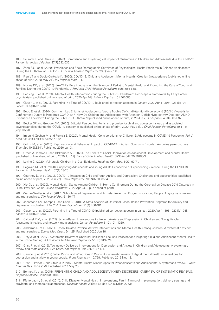186 Saurabh K, and Ranjan S. (2020). Compliance and Psychological Impact of Quarantine in Children and Adolescents due to COVID-19 Pandemic. *Indian J Pediatr.* 87(7):532-536.

187 Zhou SJ, , et al. (2020). Prevalence and Socio-Demographic Correlates of Psychological Health Problems in Chinese Adolescents During the Outbreak of COVID-19. *Eur Child Adolesc Psychiatry.* 29(6):749-758.

188 Franic T, and Dodig-Curkovic K. (2020). COVID-19, Child and Adolescent Mental Health - Croatian (in)experience [published online ahead of print, 2020 May 21]. *Ir J Psychol Med.* 1-4.

189 Novins DK, et al. (2020). JAACAP's Role in Advancing the Science of Pediatric Mental Health and Promoting the Care of Youth and Families During the COVID-19 Pandemic. *J Am Acad Child Adolesc Psychiatry.* 59(6):686-688.

190 Ransing R, et al. (2020). Mental Health Interventions during the COVID-19 Pandemic: A conceptual framework by Early Career psychiatrists [published online ahead of print, 2020 Apr 14]. *Asian J Psychiatr.* 51:102085.

191 Cluver L, et al. (2020). Parenting in a Time of COVID-19 [published correction appears in *Lancet.* 2020 Apr 11;395(10231):1194]. Lancet. 395(10231):e64

192 Bobo E, et al. (2020). Comment Les Enfants et Adolescents Avec le Trouble Déficit d'Attention/Hyperactivité (TDAH) Vivent-ils le Confinement Durant la Pandémie COVID-19 ? [How Do Children and Adolescents with Attention Deficit Hyperactivity Disorder (ADHD) Experience Lockdown During the COVID-19 Outbreak?] [published online ahead of print, 2020 Jun 7]. *Encephale.* 46(3):S85-S92.

193 Becker SP, and Gregory AM. (2020). Editorial Perspective: Perils and promise for child and adolescent sleep and associated psychopathology during the COVID-19 pandemic [published online ahead of print, 2020 May 31]. *J Child Psychol Psychiatry.* 10.1111/ jcpp.13278

194 Imran N, Zeshan M, and Pervaiz Z. (2020). Mental Health Considerations for Children & Adolescents in COVID-19 Pandemic. *Pak J Med Sci.* 36(COVID19-S4):S67-S72.

195 Colizzi M, et al. (2020). Psychosocial and Behavioral Impact of COVID-19 in Autism Spectrum Disorder: An online parent survey. *Brain Sci.* 10(6):E341. Published 2020 Jun 3.

196 Orben A, Tomova L, and Blakemore SJ. (2020). The Effects of Social Deprivation on Adolescent Development and Mental Health [published online ahead of print, 2020 Jun 12]. *Lancet Child Adolesc Health.* S2352-4642(20)30186-3.

197 Levine C. (2020). Vulnerable Children in a Dual Epidemic. *Hastings Cent Rep.* 50(3):69-71.

198 Ragavan MI, et al. (2020). Supporting Adolescents and Young Adults Exposed to or Experiencing Violence During the COVID-19 Pandemic. *J Adolesc Health.* 67(1):18-20.

199 Courtney D, et al. (2020). COVID-19 Impacts on Child and Youth Anxiety and Depression: Challenges and opportunities [published online ahead of print, 2020 Jun 22]. *Can J Psychiatry.* 706743720935646.

200 Xie, X, et al. (2020). Mental Health Status Among Children in Home Confinement During the Coronavirus Disease 2019 Outbreak in Hubei Province, China. *JAMA Pediatrics.* 2020 Apr 24. [Epub ahead of print].

201 Werner-Seidler A, et al. (2017). School-Based Depression and Anxiety Prevention Programs for Young People: A systematic review and meta-analysis. *Clin Psychol Rev.* 51:30-47.

202 Johnstone KM, Kemps E, and Chen J. (2018). A Meta-Analysis of Universal School-Based Prevention Programs for Anxiety and Depression in Children. *Clin Child Fam Psychol Rev.* 21(4):466-481.

203 Cluver L, et al. (2020). Parenting in a Time of COVID-19 [published correction appears in Lancet. 2020 Apr 11;395(10231):1194]. *Lancet.* 395(10231):e64

204 Caldwell DM, et al. (2019). School-Based Interventions to Prevent Anxiety and Depression in Children and Young People: A systematic review and network meta-analysis. *Lancet Psychiatry.* 6(12):1011-1020.

205 Andermo S, et al. (2020). School-Related Physical Activity Interventions and Mental Health Among Children: A systematic review and meta-analysis. *Sports Med Open*. 6(1):25. Published 2020 Jun 16.

206 Dray J, et al. (2017). Systematic Review of Universal Resilience-Focused Interventions Targeting Child and Adolescent Mental Health in the School Setting. *J Am Acad Child Adolesc Psychiatry.* 56(10):813-824.

207 Grist R, et al. (2019). Technology Delivered Interventions for Depression and Anxiety in Children and Adolescents: A systematic review and meta-analysis. *Clin Child Fam Psychol Rev.* 22(2):147-171.

208 Garrido S, et al. (2019). What Works and What Doesn't Work? A systematic review of digital mental health interventions for depression and anxiety in young people. *Front Psychiatry.* 10:759. Published 2019 Nov 13.

209 Grist R, Porter J, and Stallard P. (2017). Mental Health Mobile Apps for Preadolescents and Adolescents: A systematic review. J *Med Internet Res.* 19(5):e176. Published 2017 May 25.

210 Bennett K, et al. (2015). PREVENTING CHILD AND ADOLESCENT ANXIETY DISORDERS: OVERVIEW OF SYSTEMATIC REVIEWS. *Depress Anxiety.* 32(12):909-918.

211 Pfefferbaum, B., et al. (2014). Child Disaster Mental Health Interventions, Part II: Timing of implementation, delivery settings and providers, and therapeutic approaches. *Disaster health,* 2(1):58-67. doi:10.4161/dish.27535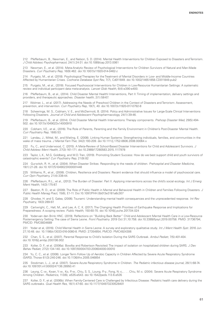212 Pfefferbaum, B., Newman, E., and Nelson, S. D. (2014). Mental Health Interventions for Children Exposed to Disasters and Terrorism. *J Child Adolesc Psychopharmacol,* 24(1):24-31. doi:10.1089/cap.2013.0061

213 Newman, E., et al. (2014). Meta-Analytic Review of Psychological Interventions for Children Survivors of Natural and Man-Made Disasters. *Curr Psychiatry Rep,* 16(9):462. doi:10.1007/s11920-014-0462-z

214 Purgato, M., et al. (2018). Psychological Therapies for the Treatment of Mental Disorders in Low- and Middle-Income Countries Affected by Humanitarian Crises. *Cochrane Database Syst Rev,* 7(7), Cd011849. doi:10.1002/14651858.CD011849.pub2

215 Purgato, M., et al., (2018). Focused Psychosocial Interventions for Children in Low-Resource Humanitarian Settings: A systematic review and individual participant data meta-analysis. *Lancet Glob Health,* 6(4):e390-e400.

216 Pfefferbaum, B., et al., (2014). Child Disaster Mental HealthI Interventions, Part II: Timing of implementation, delivery settings and providers, and therapeutic approaches. *Disaster health,* 2(1):58-67.

217 Wolmer, L., et al. (2017). Addressing the Needs of Preschool Children in the Context of Disasters and Terrorism: Assessment, prevention, and intervention. *Curr Psychiatry Rep,* 19(7), 40. doi:10.1007/s11920-017-0792-8

218 Scheeringa, M. S., Cobham, V. E., and McDermott, B. (2014). Policy and Administrative Issues for Large-Scale Clinical Interventions Following Disasters. *Journal of Child and Adolescent Psychopharmacology,* 24(1):39-46.

219 Pfefferbaum, B., et al. (2014). Child Disaster Mental Health Interventions: Therapy components. *Prehosp Disaster Med,* 29(5):494- 502. doi:10.1017/s1049023x14000910

220 Cobham, V.E., et al., (2016). The Role of Parents, Parenting and the Family Environment in Children's Post-Disaster Mental Health. *Curr Psychiatry Rep,* 18(6):53.

221 Landau, J., Mittal, M., and Wieling, E. (2008). Linking Human Systems: Strengthening individuals, families, and communities in the wake of mass trauma. *J Marital Fam Ther,* 34(2):193-209. doi:10.1111/j.1752-0606.2008.00064.x

222 Fu, C., and Underwood, C. (2015). A Meta-Review of School-Based Disaster Interventions for Child and Adolescent Survivors. *J Child Adolesc Ment Health,* 27(3):161-171. doi:10.2989/17280583.2015.1117978

223 Taylor, L.K., M.G. Goldberg, and M.D. Tran, (2019). Promoting Student Success: How do we best support child and youth survivors of catastrophic events? *Curr Psychiatry Rep,* 21(9):82

224 Gurwitch, R. H., et al. (2004). When Disaster Strikes: Responding to the needs of children. *Prehospital and Disaster Medicine,*  19(1):21-28. doi:10.1017/S1049023X00001448

225 Williams, R., et al., (2008). Children, Resilience and Disasters: Recent evidence that should influence a model of psychosocial care. *Curr Opin Psychiatry,* 21(4):338-44.

226 Pfefferbaum, R.L., et al., (2012). The Burden of Disaster: Part II. Applying interventions across the child's social ecology. *Int J Emerg Ment Health,* 14(3):175-87.

227 Beaton, R. D., et al. (2009). The Role of Public Health in Mental and Behavioral Health in Children and Families Following Disasters. *J Public Health Manag Pract,* 15(6), E1-11. Doi:10.1097/PHH.0b013e3181a8c307

228 Ghodse, H. and S. Galea, (2006). Tsunami: Understanding mental health consequences and the unprecedented response. *Int Rev Psychiatry,* 18(3):289-97.

229 Cartwright, C., Hall, M., and Lee, A. C. K. (2017). The Changing Health Priorities of Earthquake Response and Implications for Preparedness: A scoping review. *Public Health,* 150:60-70. doi:10.1016/j.puhe.2017.04.024

230 Yoder-van den Brink HNC. (2019). Reflections on "Building Back Better" Child and Adolescent Mental Health Care in a Low-Resource Postemergency Setting: The case of Sierra Leone. *Front Psychiatry.* 2019 Oct 31;10:758. doi:10.3389/fpsyt.2019.00758. PMID: 31736794; PMCID: PMC6834689

231 Yoder et al, (2016). Child Mental Health in Sierra Leone: A survey and exploratory qualitative study. *Int J Ment Health Syst.* 2016 Jun 27;10:48. doi: 10.1186/s13033-016-0080-8. PMID: 27354854; PMCID: PMC4924306

232 Chan, S. S., et al. (2007). Parental Response to Child's Isolation During the SARS Outbreak. *Ambul Pediatr,* 7(5):401-404. doi:10.1016/j.ambp.2007.06.002

233 Koller, D. F., et al. (2006a). Bowlby and Robertson Revisited: The impact of isolation on hospitalized children during SARS. *J Dev Behav Pediatr,* 27(2):134-140. doi:10.1097/00004703-200604000-00010

234 Yu, C. C., et al. (2006). Longer Term Follow Up of Aerobic Capacity in Children Affected by Severe Acute Respiratory Syndrome (SARS). Thorax 61(3):240-246. doi:10.1136/thx.2005.046854

235 Stockman, L. J., et al. (2007). Severe Acute Respiratory Syndrome in Children. *The Pediatric infectious disease journal,* 26(1):68-74. doi:10.1097/01.inf.0000247136.28950.41

236 Leung, C.-w., Kwan, Y.-w., Ko, P.-w., Chiu, S. S., Loung, P.-y., Fong, N.-c., . . . Chiu, M.-c. (2004). Severe Acute Respiratory Syndrome Among Children. *Pediatrics,* 113(6), e535-e543. doi:10.1542/peds.113.6.e535

237 Koller, D. F., et al. (2006b). When Family-Centered Care is Challenged by Infectious Disease: Pediatric health care delivery during the SARS outbreaks. *Qual Health Res,* 16(1):47-60. doi:10.1177/104973230528401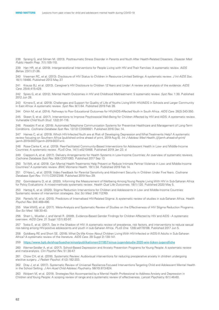238 Sprang G, and Silman M. (2013). Posttraumatic Stress Disorder in Parents and Youth After Health-Related Disasters. *Disaster Med Public Health Prep.* 7(1):105-110.

239 Han HR, et al. (2019). Intergenerational Interventions for People Living with HIV and Their Families: A systematic review. *AIDS Behav.* 23(1):21-36.

240 Vreeman RC, et al. (2013). Disclosure of HIV Status to Children in Resource-Limited Settings: A systematic review. *J Int AIDS Soc.*  16(1):18466. Published 2013 May 27.

241 Krauss BJ, et al. (2013). Caregiver's HIV Disclosure to Children 12 Years and Under: A review and analysis of the evidence. *AIDS Care.* 25(4):415-429.

242 Spies G, et al. (2012). Mental Health Outcomes in HIV and Childhood Maltreatment: S systematic review. *Syst Rev.* 1:30. Published 2012 Jun 28.

243 Kimera E, et al. (2019). Challenges and Support for Quality of Life of Youths Living With HIV/AIDS in Schools and Larger Community in East Africa: A systematic review. *Syst Rev.* 8(1):64. Published 2019 Feb 26.

244 Orkin M, et al. (2014). Pathways to Poor Educational Outcomes for HIV/AIDS-Affected Youth in South Africa. *AIDS Care.* 26(3):343-350.

245 Skeen S, et al. (2017). Interventions to Improve Psychosocial Well-Being for Children Affected by HIV and AIDS: A systematic review. *Vulnerable Child Youth Stud.* 12(2):91-116.

246 Posadzki P, et al. (2016). Automated Telephone Communication Systems for Preventive Healthcare and Management of Long-Term Conditions. *Cochrane Database Syst Rev.* 12(12):CD009921. Published 2016 Dec 14.

247 Haines C, et al. (2019). Which HIV-Infected Youth are at Risk of Developing Depression and What Treatments Help? A systematic review focusing on Southern Africa [published online ahead of print, 2019 Aug 6]. *Int J Adolesc Med Health.*;/j/ijamh.ahead-of-print/ ijamh-2019-0037/ijamh-2019-0037.xml.

248 Rose-Clarke K, et al. (2019). Peer-Facilitated Community-Based Interventions for Adolescent Health in Low- and Middle-Income Countries: A systematic review. *PLoS One.* 14(1):e0210468. Published 2019 Jan 23. d

249 Ciapponi A, et al. (2017). Delivery Arrangements for Health Systems in Low-Income Countries: An overview of systematic reviews. *Cochrane Database Syst Rev.* 9(9):CD011083. Published 2017 Sep 13

250 Tol WA, et al. (2019). Can Mental Health Treatments Help Prevent or Reduce Intimate Partner Violence in Low- and Middle-Income Countries? A systematic review. *BMC Womens Health.* 19(1):34. Published 2019 Feb 14.

251 O'Hara L, et al. (2019). Video Feedback for Parental Sensitivity and Attachment Security in Children Under Five Years. *Cochrane Database Syst Rev.* 11(11):CD012348. Published 2019 Nov 29.

252 Govindasamy D, et al. (2020). Informing the Measurement of Wellbeing Among Young People Living With HIV in Sub-Saharan Africa for Policy Evaluations: A mixed-methods systematic review. *Health Qual Life Outcomes.* 18(1):120. Published 2020 May 5.

253 Hartog K, et al. (2020). Stigma Reduction Interventions for Children and Adolescents in Low- and Middle-Income Countries: Systematic review of intervention strategies. *Soc Sci Med.* 246:112749.

254 Pantelic M, et al. (2015). Predictors of Internalised HIV-Related Stigma: A systematic review of studies in sub-Saharan Africa. *Health Psychol Rev.* 9(4):469-490.

255 Mak WWS, et al. (2017). Meta-Analysis and Systematic Review of Studies on the Effectiveness of HIV Stigma Reduction Programs. *Soc Sci Med.* 188:30-40.

256 Sherr L, Mueller J, and Varrall R. (2009). Evidence-Based Gender Findings for Children Affected by HIV and AIDS - A systematic overview. *AIDS Care.* 21 Suppl 1(S1):83-97.

257 Toska E, et al. (2017). Sex in the Shadow of HIV: A systematic review of prevalence, risk factors, and interventions to reduce sexual risk-taking among HIV-positive adolescents and youth in sub-Saharan Africa. *PLoS One.* 12(6):e0178106. Published 2017 Jun 5.

258 Goldberg RE and Short SE. (2016). What Do We Know About Children Living With HIV-Infected or AIDS-Ill Adults in Sub-Saharan Africa? A systematic review of the literature. *AIDS Care.* 28 Suppl 2):130-141.

259 <https://www.bpb.de/shop/buecher/einzelpublikationen/311857/sinus-jugendstudie-2020-wie-ticken-jugendliche>

260 Werner-Seidler A, et al. (2017). School-Based Depression and Anxiety Prevention Programs for Young People: A systematic review and meta-analysis. *Clin Psychol Rev.* 51:30-47.

261 Chow CH, et al. (2016). Systematic Review: Audiovisual interventions for reducing preoperative anxiety in children undergoing elective surgery. *J Pediatr Psychol.* 41(2):182-203.

262 Dray J, et al. (2017). Systematic Review of Universal Resilience-Focused Interventions Targeting Child and Adolescent Mental Health in the School Setting. *J Am Acad Child Adolesc Psychiatry.* 56(10):813-824.

263 Wolpert M, et al. (2019). Strategies Not Accompanied by a Mental Health Professional to Address Anxiety and Depression in Children and Young People: A scoping review of range and a systematic review of effectiveness. *Lancet Psychiatry.* 6(1):46-60.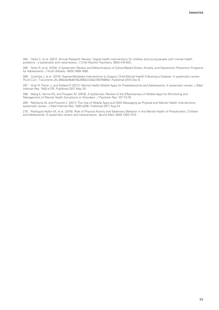264 Hollis C, et al. (2017). Annual Research Review: Digital health interventions for children and young people with mental health problems - a systematic and meta-review. *J Child Psychol Psychiatry.* 58(4):474-503.

265 Feiss R, et al. (2019). A Systematic Review and Meta-Analysis of School-Based Stress, Anxiety, and Depression Prevention Programs for Adolescents. *J Youth Adolesc.* 48(9):1668-1685.

266 Coombe J, et al. (2015). Teacher-Mediated Interventions to Support Child Mental Health Following a Disaster: A systematic review. *PLoS Curr.*; 7:ecurrents.dis.466c8c96d879e2663a1e5e274978965d. Published 2015 Dec 8.

267 Grist R, Porter J, and Stallard P. (2017). Mental Health Mobile Apps for Preadolescents and Adolescents: A systematic review. *J Med Internet Res.* 19(5):e176. Published 2017 May 25.

268 Wang K, Varma DS, and Prosperi M. (2018). A Systematic Review of the Effectiveness of Mobile Apps for Monitoring and Management of Mental Health Symptoms or Disorders. *J Psychiatr Res.* 107:73-78.

269 Rathbone AL and Prescott J. (2017). The Use of Mobile Apps and SMS Messaging as Physical and Mental Health Interventions: systematic review. *J Med Internet Res.* 19(8):e295. Published 2017 Aug 24

270 Rodriguez-Ayllon M, et al. (2019). Role of Physical Activity and Sedentary Behavior in the Mental Health of Preschoolers, Children and Adolescents: A systematic review and meta-analysis. *Sports Med.* 49(9):1383-1410.